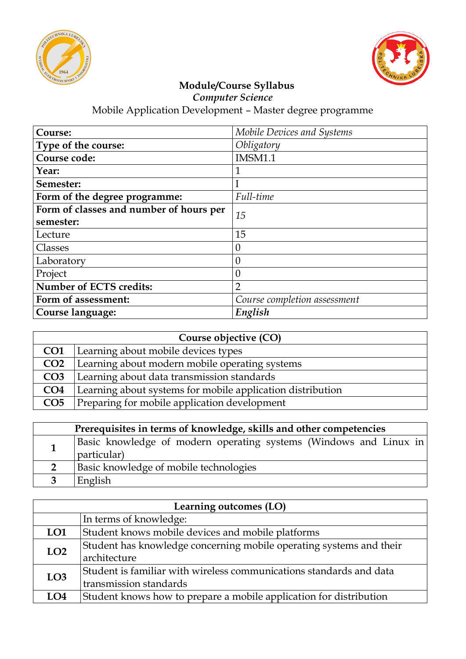



*Computer Science*

| Course:                                 | Mobile Devices and Systems   |
|-----------------------------------------|------------------------------|
| Type of the course:                     | Obligatory                   |
| Course code:                            | <b>IMSM1.1</b>               |
| Year:                                   | 1                            |
| Semester:                               |                              |
| Form of the degree programme:           | Full-time                    |
| Form of classes and number of hours per | 15                           |
| semester:                               |                              |
| Lecture                                 | 15                           |
| Classes                                 | $\theta$                     |
| Laboratory                              | $\theta$                     |
| Project                                 | $\overline{0}$               |
| <b>Number of ECTS credits:</b>          | $\overline{2}$               |
| Form of assessment:                     | Course completion assessment |
| Course language:                        | English                      |

| Course objective (CO) |                                                            |
|-----------------------|------------------------------------------------------------|
| CO <sub>1</sub>       | Learning about mobile devices types                        |
| CO <sub>2</sub>       | Learning about modern mobile operating systems             |
| CO <sub>3</sub>       | Learning about data transmission standards                 |
| CO <sub>4</sub>       | Learning about systems for mobile application distribution |
| CO <sub>5</sub>       | Preparing for mobile application development               |

| Prerequisites in terms of knowledge, skills and other competencies |                                                                                  |  |
|--------------------------------------------------------------------|----------------------------------------------------------------------------------|--|
|                                                                    | Basic knowledge of modern operating systems (Windows and Linux in<br>particular) |  |
|                                                                    | Basic knowledge of mobile technologies                                           |  |
|                                                                    | English                                                                          |  |

| Learning outcomes (LO) |                                                                     |
|------------------------|---------------------------------------------------------------------|
|                        | In terms of knowledge:                                              |
| LO <sub>1</sub>        | Student knows mobile devices and mobile platforms                   |
| LO <sub>2</sub>        | Student has knowledge concerning mobile operating systems and their |
|                        | architecture                                                        |
| LO3                    | Student is familiar with wireless communications standards and data |
|                        | transmission standards                                              |
| LO4                    | Student knows how to prepare a mobile application for distribution  |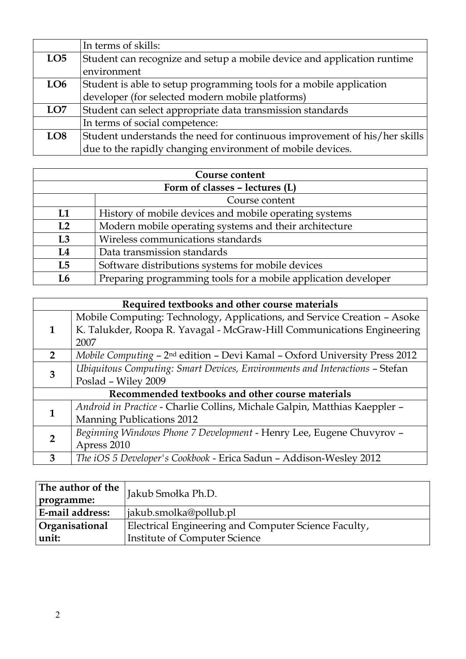|                 | In terms of skills:                                                       |
|-----------------|---------------------------------------------------------------------------|
| LO <sub>5</sub> | Student can recognize and setup a mobile device and application runtime   |
|                 | environment                                                               |
| LO <sub>6</sub> | Student is able to setup programming tools for a mobile application       |
|                 | developer (for selected modern mobile platforms)                          |
| LO <sub>7</sub> | Student can select appropriate data transmission standards                |
|                 | In terms of social competence:                                            |
| LO <sub>8</sub> | Student understands the need for continuous improvement of his/her skills |
|                 | due to the rapidly changing environment of mobile devices.                |

| Course content                 |                                                                |
|--------------------------------|----------------------------------------------------------------|
| Form of classes - lectures (L) |                                                                |
|                                | Course content                                                 |
| L1                             | History of mobile devices and mobile operating systems         |
| L <sub>2</sub>                 | Modern mobile operating systems and their architecture         |
| L3                             | Wireless communications standards                              |
| L4                             | Data transmission standards                                    |
| L5                             | Software distributions systems for mobile devices              |
| L <sub>6</sub>                 | Preparing programming tools for a mobile application developer |

| Required textbooks and other course materials    |                                                                                        |
|--------------------------------------------------|----------------------------------------------------------------------------------------|
|                                                  | Mobile Computing: Technology, Applications, and Service Creation - Asoke               |
| 1                                                | K. Talukder, Roopa R. Yavagal - McGraw-Hill Communications Engineering                 |
|                                                  | 2007                                                                                   |
| $\overline{2}$                                   | Mobile Computing - 2 <sup>nd</sup> edition - Devi Kamal - Oxford University Press 2012 |
|                                                  | Ubiquitous Computing: Smart Devices, Environments and Interactions - Stefan            |
| 3                                                | Poslad - Wiley 2009                                                                    |
| Recommended textbooks and other course materials |                                                                                        |
| 1                                                | Android in Practice - Charlie Collins, Michale Galpin, Matthias Kaeppler -             |
|                                                  | <b>Manning Publications 2012</b>                                                       |
|                                                  | Beginning Windows Phone 7 Development - Henry Lee, Eugene Chuvyrov -                   |
| 2                                                | Apress 2010                                                                            |
| 3                                                | The iOS 5 Developer's Cookbook - Erica Sadun - Addison-Wesley 2012                     |

| The author of the  <br>programme: | Jakub Smołka Ph.D.                                   |
|-----------------------------------|------------------------------------------------------|
| <b>E-mail address:</b>            | iakub.smolka@pollub.pl                               |
| Organisational                    | Electrical Engineering and Computer Science Faculty, |
| unit:                             | <b>Institute of Computer Science</b>                 |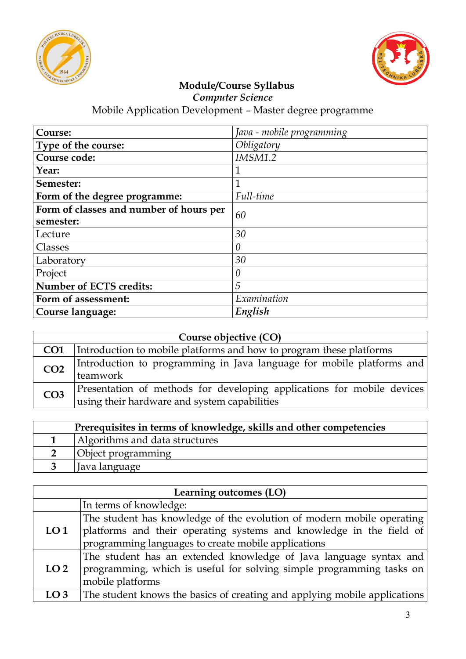



*Computer Science*

| Course:                                 | Java - mobile programming |
|-----------------------------------------|---------------------------|
| Type of the course:                     | Obligatory                |
| Course code:                            | <b>IMSM1.2</b>            |
| Year:                                   | 1                         |
| Semester:                               | 1                         |
| Form of the degree programme:           | Full-time                 |
| Form of classes and number of hours per |                           |
| 60<br>semester:                         |                           |
| Lecture                                 | 30                        |
| Classes                                 | $\theta$                  |
| Laboratory                              | 30                        |
| Project                                 | $\theta$                  |
| <b>Number of ECTS credits:</b>          | 5                         |
| Form of assessment:                     | Examination               |
| Course language:                        | English                   |

| Course objective (CO) |                                                                                                                        |
|-----------------------|------------------------------------------------------------------------------------------------------------------------|
| CO <sub>1</sub>       | Introduction to mobile platforms and how to program these platforms                                                    |
| CO <sub>2</sub>       | [Introduction to programming in Java language for mobile platforms and<br>teamwork                                     |
| CO <sub>3</sub>       | Presentation of methods for developing applications for mobile devices<br>using their hardware and system capabilities |

| Prerequisites in terms of knowledge, skills and other competencies |                                |
|--------------------------------------------------------------------|--------------------------------|
|                                                                    | Algorithms and data structures |
|                                                                    | Object programming             |
|                                                                    | Java language                  |

| Learning outcomes (LO) |                                                                           |
|------------------------|---------------------------------------------------------------------------|
|                        | In terms of knowledge:                                                    |
|                        | The student has knowledge of the evolution of modern mobile operating     |
| LO <sub>1</sub>        | platforms and their operating systems and knowledge in the field of       |
|                        | programming languages to create mobile applications                       |
|                        | The student has an extended knowledge of Java language syntax and         |
| LO <sub>2</sub>        | programming, which is useful for solving simple programming tasks on      |
|                        | mobile platforms                                                          |
| LO <sub>3</sub>        | The student knows the basics of creating and applying mobile applications |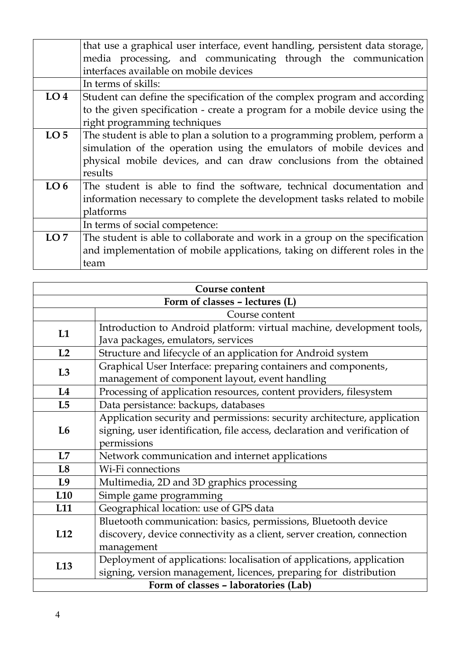|                 | that use a graphical user interface, event handling, persistent data storage, |
|-----------------|-------------------------------------------------------------------------------|
|                 | media processing, and communicating through the communication                 |
|                 | interfaces available on mobile devices                                        |
|                 | In terms of skills:                                                           |
| LO <sub>4</sub> | Student can define the specification of the complex program and according     |
|                 | to the given specification - create a program for a mobile device using the   |
|                 | right programming techniques                                                  |
| LO <sub>5</sub> | The student is able to plan a solution to a programming problem, perform a    |
|                 | simulation of the operation using the emulators of mobile devices and         |
|                 | physical mobile devices, and can draw conclusions from the obtained           |
|                 | results                                                                       |
| LO <sub>6</sub> | The student is able to find the software, technical documentation and         |
|                 | information necessary to complete the development tasks related to mobile     |
|                 | platforms                                                                     |
|                 | In terms of social competence:                                                |
| LO7             | The student is able to collaborate and work in a group on the specification   |
|                 | and implementation of mobile applications, taking on different roles in the   |
|                 | team                                                                          |

| Course content                 |                                                                            |  |  |  |  |  |  |  |
|--------------------------------|----------------------------------------------------------------------------|--|--|--|--|--|--|--|
| Form of classes - lectures (L) |                                                                            |  |  |  |  |  |  |  |
|                                | Course content                                                             |  |  |  |  |  |  |  |
| L1                             | Introduction to Android platform: virtual machine, development tools,      |  |  |  |  |  |  |  |
|                                | Java packages, emulators, services                                         |  |  |  |  |  |  |  |
| L2                             | Structure and lifecycle of an application for Android system               |  |  |  |  |  |  |  |
| L3                             | Graphical User Interface: preparing containers and components,             |  |  |  |  |  |  |  |
|                                | management of component layout, event handling                             |  |  |  |  |  |  |  |
| L4                             | Processing of application resources, content providers, filesystem         |  |  |  |  |  |  |  |
| L5                             | Data persistance: backups, databases                                       |  |  |  |  |  |  |  |
|                                | Application security and permissions: security architecture, application   |  |  |  |  |  |  |  |
| L <sub>6</sub>                 | signing, user identification, file access, declaration and verification of |  |  |  |  |  |  |  |
|                                | permissions                                                                |  |  |  |  |  |  |  |
| L7                             | Network communication and internet applications                            |  |  |  |  |  |  |  |
| L <sub>8</sub>                 | Wi-Fi connections                                                          |  |  |  |  |  |  |  |
| L <sub>9</sub>                 | Multimedia, 2D and 3D graphics processing                                  |  |  |  |  |  |  |  |
| L10                            | Simple game programming                                                    |  |  |  |  |  |  |  |
| L <sub>11</sub>                | Geographical location: use of GPS data                                     |  |  |  |  |  |  |  |
|                                | Bluetooth communication: basics, permissions, Bluetooth device             |  |  |  |  |  |  |  |
| L12                            | discovery, device connectivity as a client, server creation, connection    |  |  |  |  |  |  |  |
|                                | management                                                                 |  |  |  |  |  |  |  |
|                                | Deployment of applications: localisation of applications, application      |  |  |  |  |  |  |  |
| L <sub>13</sub>                | signing, version management, licences, preparing for distribution          |  |  |  |  |  |  |  |
|                                | Form of classes - laboratories (Lab)                                       |  |  |  |  |  |  |  |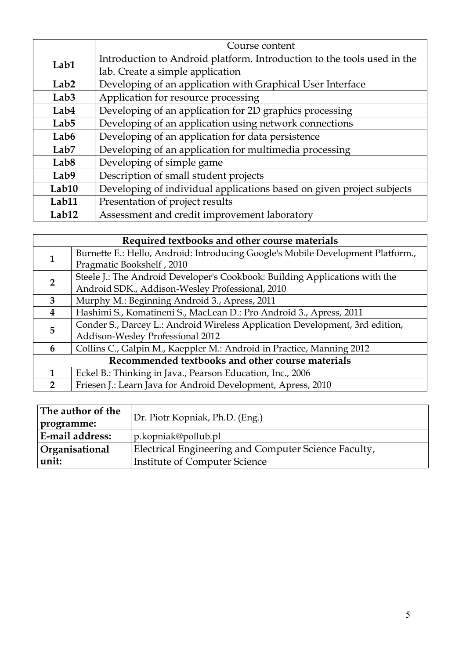|                   | Course content                                                          |  |  |  |  |  |  |  |
|-------------------|-------------------------------------------------------------------------|--|--|--|--|--|--|--|
| Lab1              | Introduction to Android platform. Introduction to the tools used in the |  |  |  |  |  |  |  |
|                   | lab. Create a simple application                                        |  |  |  |  |  |  |  |
| Lab <sub>2</sub>  | Developing of an application with Graphical User Interface              |  |  |  |  |  |  |  |
| Lab <sub>3</sub>  | Application for resource processing                                     |  |  |  |  |  |  |  |
| Lab4              | Developing of an application for 2D graphics processing                 |  |  |  |  |  |  |  |
| Lab <sub>5</sub>  | Developing of an application using network connections                  |  |  |  |  |  |  |  |
| Lab <sub>6</sub>  | Developing of an application for data persistence                       |  |  |  |  |  |  |  |
| Lab <sub>7</sub>  | Developing of an application for multimedia processing                  |  |  |  |  |  |  |  |
| Lab <sub>8</sub>  | Developing of simple game                                               |  |  |  |  |  |  |  |
| Lab9              | Description of small student projects                                   |  |  |  |  |  |  |  |
| Lab10             | Developing of individual applications based on given project subjects   |  |  |  |  |  |  |  |
| Lab11             | Presentation of project results                                         |  |  |  |  |  |  |  |
| Lab <sub>12</sub> | Assessment and credit improvement laboratory                            |  |  |  |  |  |  |  |

| Required textbooks and other course materials    |                                                                                 |  |  |  |  |
|--------------------------------------------------|---------------------------------------------------------------------------------|--|--|--|--|
| 1                                                | Burnette E.: Hello, Android: Introducing Google's Mobile Development Platform., |  |  |  |  |
|                                                  | Pragmatic Bookshelf, 2010                                                       |  |  |  |  |
| $\mathcal{P}$                                    | Steele J.: The Android Developer's Cookbook: Building Applications with the     |  |  |  |  |
|                                                  | Android SDK., Addison-Wesley Professional, 2010                                 |  |  |  |  |
| 3                                                | Murphy M.: Beginning Android 3., Apress, 2011                                   |  |  |  |  |
| 4                                                | Hashimi S., Komatineni S., MacLean D.: Pro Android 3., Apress, 2011             |  |  |  |  |
| 5                                                | Conder S., Darcey L.: Android Wireless Application Development, 3rd edition,    |  |  |  |  |
|                                                  | Addison-Wesley Professional 2012                                                |  |  |  |  |
| 6                                                | Collins C., Galpin M., Kaeppler M.: Android in Practice, Manning 2012           |  |  |  |  |
| Recommended textbooks and other course materials |                                                                                 |  |  |  |  |
|                                                  | Eckel B.: Thinking in Java., Pearson Education, Inc., 2006                      |  |  |  |  |
| 2                                                | Friesen J.: Learn Java for Android Development, Apress, 2010                    |  |  |  |  |

| The author of the | Dr. Piotr Kopniak, Ph.D. (Eng.)                      |  |  |  |  |
|-------------------|------------------------------------------------------|--|--|--|--|
| programme:        |                                                      |  |  |  |  |
| E-mail address:   | p.kopniak@pollub.pl                                  |  |  |  |  |
| Organisational    | Electrical Engineering and Computer Science Faculty, |  |  |  |  |
| unit:             | <b>Institute of Computer Science</b>                 |  |  |  |  |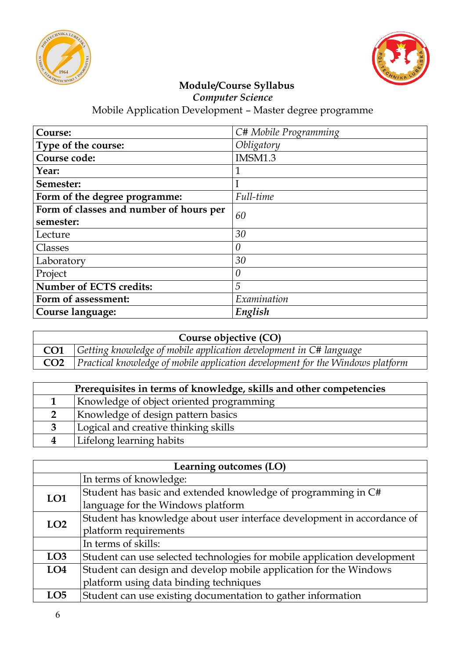



*Computer Science*

| Course:                                 | C# Mobile Programming |  |  |  |
|-----------------------------------------|-----------------------|--|--|--|
| Type of the course:                     | Obligatory            |  |  |  |
| Course code:                            | IMSM1.3               |  |  |  |
| Year:                                   | 1                     |  |  |  |
| Semester:                               |                       |  |  |  |
| Form of the degree programme:           | Full-time             |  |  |  |
| Form of classes and number of hours per | 60                    |  |  |  |
| semester:                               |                       |  |  |  |
| Lecture                                 | 30                    |  |  |  |
| Classes                                 | $\theta$              |  |  |  |
| Laboratory                              | 30                    |  |  |  |
| Project                                 | $\theta$              |  |  |  |
| Number of ECTS credits:                 | 5                     |  |  |  |
| Form of assessment:                     | Examination           |  |  |  |
| Course language:                        | English               |  |  |  |

| Course objective (CO) |                                                                                       |  |  |  |  |  |
|-----------------------|---------------------------------------------------------------------------------------|--|--|--|--|--|
|                       | <b>CO1</b> Getting knowledge of mobile application development in C# language         |  |  |  |  |  |
|                       | $\Box$ Practical knowledge of mobile application development for the Windows platform |  |  |  |  |  |

|                | Prerequisites in terms of knowledge, skills and other competencies |  |  |  |  |  |  |
|----------------|--------------------------------------------------------------------|--|--|--|--|--|--|
|                | Knowledge of object oriented programming                           |  |  |  |  |  |  |
| 2 <sup>1</sup> | Knowledge of design pattern basics                                 |  |  |  |  |  |  |
| 3              | Logical and creative thinking skills                               |  |  |  |  |  |  |
|                | Lifelong learning habits                                           |  |  |  |  |  |  |

| Learning outcomes (LO) |                                                                          |  |  |  |  |
|------------------------|--------------------------------------------------------------------------|--|--|--|--|
|                        | In terms of knowledge:                                                   |  |  |  |  |
| LO1                    | Student has basic and extended knowledge of programming in C#            |  |  |  |  |
|                        | language for the Windows platform                                        |  |  |  |  |
| LO <sub>2</sub>        | Student has knowledge about user interface development in accordance of  |  |  |  |  |
|                        | platform requirements                                                    |  |  |  |  |
|                        | In terms of skills:                                                      |  |  |  |  |
| LO3                    | Student can use selected technologies for mobile application development |  |  |  |  |
| LO <sub>4</sub>        | Student can design and develop mobile application for the Windows        |  |  |  |  |
|                        | platform using data binding techniques                                   |  |  |  |  |
| LO <sub>5</sub>        | Student can use existing documentation to gather information             |  |  |  |  |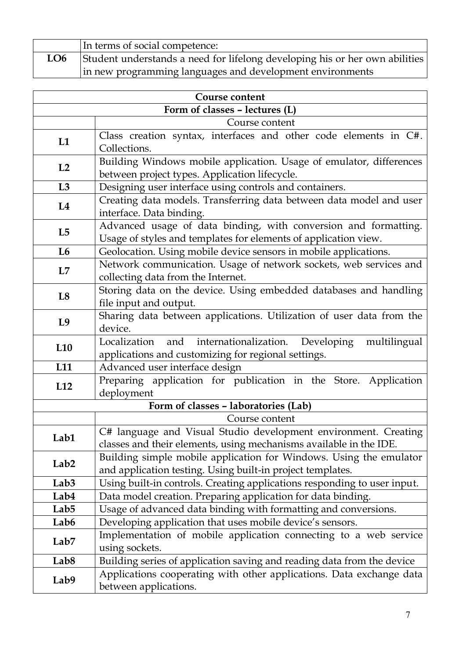|     | In terms of social competence:                                              |
|-----|-----------------------------------------------------------------------------|
| LO6 | Student understands a need for lifelong developing his or her own abilities |
|     | in new programming languages and development environments                   |

| <b>Course content</b>          |                                                                                                                                       |  |  |  |  |  |  |  |  |
|--------------------------------|---------------------------------------------------------------------------------------------------------------------------------------|--|--|--|--|--|--|--|--|
| Form of classes - lectures (L) |                                                                                                                                       |  |  |  |  |  |  |  |  |
|                                | Course content                                                                                                                        |  |  |  |  |  |  |  |  |
| L1                             | Class creation syntax, interfaces and other code elements in C#.<br>Collections.                                                      |  |  |  |  |  |  |  |  |
| L2                             | Building Windows mobile application. Usage of emulator, differences<br>between project types. Application lifecycle.                  |  |  |  |  |  |  |  |  |
| L3                             | Designing user interface using controls and containers.                                                                               |  |  |  |  |  |  |  |  |
| L4                             | Creating data models. Transferring data between data model and user<br>interface. Data binding.                                       |  |  |  |  |  |  |  |  |
| L5                             | Advanced usage of data binding, with conversion and formatting.<br>Usage of styles and templates for elements of application view.    |  |  |  |  |  |  |  |  |
| L <sub>6</sub>                 | Geolocation. Using mobile device sensors in mobile applications.                                                                      |  |  |  |  |  |  |  |  |
| L7                             | Network communication. Usage of network sockets, web services and<br>collecting data from the Internet.                               |  |  |  |  |  |  |  |  |
| L8                             | Storing data on the device. Using embedded databases and handling<br>file input and output.                                           |  |  |  |  |  |  |  |  |
| L <sub>9</sub>                 | Sharing data between applications. Utilization of user data from the<br>device.                                                       |  |  |  |  |  |  |  |  |
| L <sub>10</sub>                | Localization<br>internationalization.<br>Developing<br>and<br>multilingual<br>applications and customizing for regional settings.     |  |  |  |  |  |  |  |  |
| L11                            | Advanced user interface design                                                                                                        |  |  |  |  |  |  |  |  |
| L12                            | Preparing application for publication in the Store. Application<br>deployment                                                         |  |  |  |  |  |  |  |  |
|                                | Form of classes - laboratories (Lab)                                                                                                  |  |  |  |  |  |  |  |  |
|                                | Course content                                                                                                                        |  |  |  |  |  |  |  |  |
| Lab1                           | C# language and Visual Studio development environment. Creating<br>classes and their elements, using mechanisms available in the IDE. |  |  |  |  |  |  |  |  |
| Lab <sub>2</sub>               | Building simple mobile application for Windows. Using the emulator<br>and application testing. Using built-in project templates.      |  |  |  |  |  |  |  |  |
| Lab <sub>3</sub>               | Using built-in controls. Creating applications responding to user input.                                                              |  |  |  |  |  |  |  |  |
| Lab4                           | Data model creation. Preparing application for data binding.                                                                          |  |  |  |  |  |  |  |  |
| Lab <sub>5</sub>               | Usage of advanced data binding with formatting and conversions.                                                                       |  |  |  |  |  |  |  |  |
| Lab <sub>6</sub>               | Developing application that uses mobile device's sensors.                                                                             |  |  |  |  |  |  |  |  |
| Lab <sub>7</sub>               | Implementation of mobile application connecting to a web service<br>using sockets.                                                    |  |  |  |  |  |  |  |  |
| Lab <sub>8</sub>               | Building series of application saving and reading data from the device                                                                |  |  |  |  |  |  |  |  |
| Lab9                           | Applications cooperating with other applications. Data exchange data<br>between applications.                                         |  |  |  |  |  |  |  |  |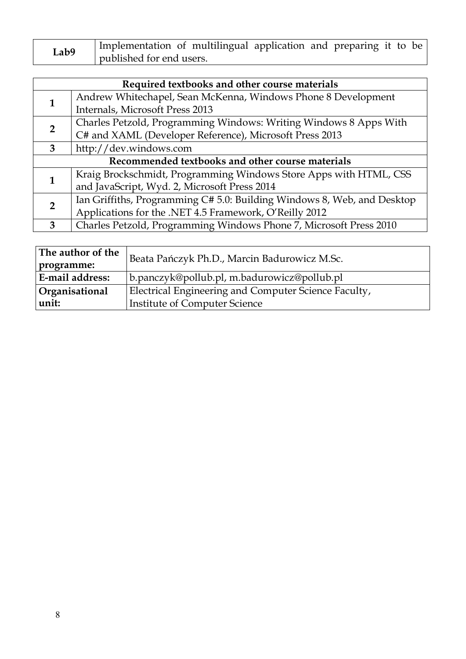| Lab9 | Implementation of multilingual application and preparing it to be |  |  |  |  |  |  |  |  |
|------|-------------------------------------------------------------------|--|--|--|--|--|--|--|--|
|      | published for end users.                                          |  |  |  |  |  |  |  |  |

|                                                  | Required textbooks and other course materials                           |  |
|--------------------------------------------------|-------------------------------------------------------------------------|--|
|                                                  | Andrew Whitechapel, Sean McKenna, Windows Phone 8 Development           |  |
| 1                                                | Internals, Microsoft Press 2013                                         |  |
| $\overline{2}$                                   | Charles Petzold, Programming Windows: Writing Windows 8 Apps With       |  |
|                                                  | C# and XAML (Developer Reference), Microsoft Press 2013                 |  |
| 3                                                | http://dev.windows.com                                                  |  |
| Recommended textbooks and other course materials |                                                                         |  |
|                                                  | Kraig Brockschmidt, Programming Windows Store Apps with HTML, CSS       |  |
|                                                  | and JavaScript, Wyd. 2, Microsoft Press 2014                            |  |
|                                                  | Ian Griffiths, Programming C# 5.0: Building Windows 8, Web, and Desktop |  |
| $\overline{2}$                                   | Applications for the .NET 4.5 Framework, O'Reilly 2012                  |  |
| 3                                                | Charles Petzold, Programming Windows Phone 7, Microsoft Press 2010      |  |

| The author of the<br>programme: | Beata Pańczyk Ph.D., Marcin Badurowicz M.Sc.         |
|---------------------------------|------------------------------------------------------|
| E-mail address:                 | b.panczyk@pollub.pl, m.badurowicz@pollub.pl          |
| <b>Organisational</b>           | Electrical Engineering and Computer Science Faculty, |
| unit:                           | Institute of Computer Science                        |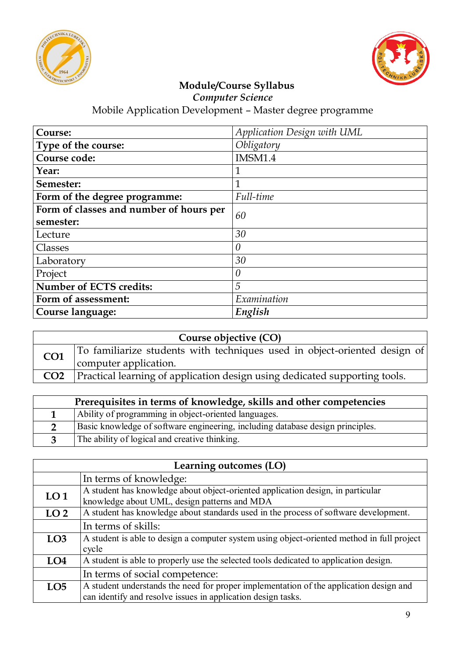



*Computer Science*

| Course:                                 | Application Design with UML |  |
|-----------------------------------------|-----------------------------|--|
| Type of the course:                     | Obligatory                  |  |
| Course code:                            | IMSM1.4                     |  |
| Year:                                   | $\mathbf{1}$                |  |
| Semester:                               | $\mathbf{1}$                |  |
| Form of the degree programme:           | Full-time                   |  |
| Form of classes and number of hours per | 60                          |  |
| semester:                               |                             |  |
| Lecture                                 | 30                          |  |
| Classes                                 | $\theta$                    |  |
| Laboratory                              | 30                          |  |
| Project                                 | $\theta$                    |  |
| <b>Number of ECTS credits:</b>          | 5                           |  |
| Form of assessment:                     | Examination                 |  |
| Course language:                        | English                     |  |

|                 | Course objective (CO)                                                                              |
|-----------------|----------------------------------------------------------------------------------------------------|
| CO <sub>1</sub> | To familiarize students with techniques used in object-oriented design of<br>computer application. |
| CO <sub>2</sub> | Practical learning of application design using dedicated supporting tools.                         |

| Prerequisites in terms of knowledge, skills and other competencies             |  |
|--------------------------------------------------------------------------------|--|
| Ability of programming in object-oriented languages.                           |  |
| Basic knowledge of software engineering, including database design principles. |  |
| The ability of logical and creative thinking.                                  |  |

|                 | Learning outcomes (LO)                                                                                                                                 |
|-----------------|--------------------------------------------------------------------------------------------------------------------------------------------------------|
|                 | In terms of knowledge:                                                                                                                                 |
| LO <sub>1</sub> | A student has knowledge about object-oriented application design, in particular<br>knowledge about UML, design patterns and MDA                        |
| LO <sub>2</sub> | A student has knowledge about standards used in the process of software development.                                                                   |
|                 | In terms of skills:                                                                                                                                    |
| LO <sub>3</sub> | A student is able to design a computer system using object-oriented method in full project<br>cycle                                                    |
| LO <sub>4</sub> | A student is able to properly use the selected tools dedicated to application design.                                                                  |
|                 | In terms of social competence:                                                                                                                         |
| LO <sub>5</sub> | A student understands the need for proper implementation of the application design and<br>can identify and resolve issues in application design tasks. |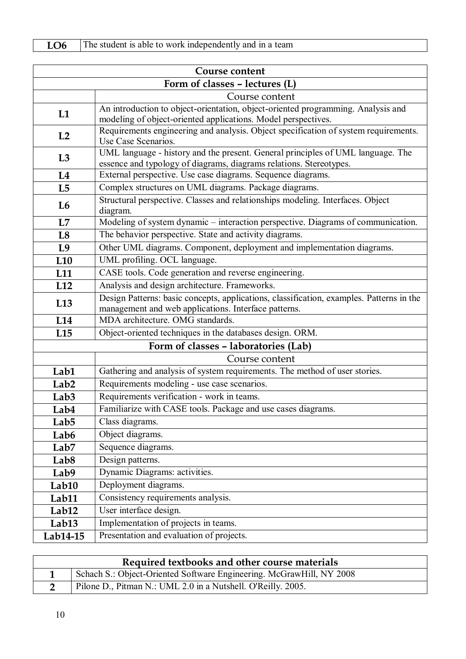| LO6<br>The student is able to work independently and in a team |  |
|----------------------------------------------------------------|--|
|----------------------------------------------------------------|--|

|                   | Course content                                                                                                                                        |
|-------------------|-------------------------------------------------------------------------------------------------------------------------------------------------------|
|                   | Form of classes - lectures (L)                                                                                                                        |
|                   | Course content                                                                                                                                        |
| L1                | An introduction to object-orientation, object-oriented programming. Analysis and                                                                      |
|                   | modeling of object-oriented applications. Model perspectives.                                                                                         |
| L2                | Requirements engineering and analysis. Object specification of system requirements.<br>Use Case Scenarios.                                            |
| L3                | UML language - history and the present. General principles of UML language. The<br>essence and typology of diagrams, diagrams relations. Stereotypes. |
| L4                | External perspective. Use case diagrams. Sequence diagrams.                                                                                           |
| L5                | Complex structures on UML diagrams. Package diagrams.                                                                                                 |
| L <sub>6</sub>    | Structural perspective. Classes and relationships modeling. Interfaces. Object<br>diagram.                                                            |
| L7                | Modeling of system dynamic - interaction perspective. Diagrams of communication.                                                                      |
| L <sub>8</sub>    | The behavior perspective. State and activity diagrams.                                                                                                |
| L9                | Other UML diagrams. Component, deployment and implementation diagrams.                                                                                |
| L10               | UML profiling. OCL language.                                                                                                                          |
| L <sub>11</sub>   | CASE tools. Code generation and reverse engineering.                                                                                                  |
| L12               | Analysis and design architecture. Frameworks.                                                                                                         |
| L <sub>13</sub>   | Design Patterns: basic concepts, applications, classification, examples. Patterns in the<br>management and web applications. Interface patterns.      |
| L14               | MDA architecture. OMG standards.                                                                                                                      |
| L15               | Object-oriented techniques in the databases design. ORM.                                                                                              |
|                   | Form of classes - laboratories (Lab)                                                                                                                  |
|                   | Course content                                                                                                                                        |
| Lab1              | Gathering and analysis of system requirements. The method of user stories.                                                                            |
| Lab <sub>2</sub>  | Requirements modeling - use case scenarios.                                                                                                           |
| Lab <sub>3</sub>  | Requirements verification - work in teams.                                                                                                            |
| Lab4              | Familiarize with CASE tools. Package and use cases diagrams.                                                                                          |
| Lab <sub>5</sub>  | Class diagrams.                                                                                                                                       |
| Lab6              | Object diagrams.                                                                                                                                      |
| Lab <sub>7</sub>  | Sequence diagrams.                                                                                                                                    |
| Lab <sub>8</sub>  | Design patterns.                                                                                                                                      |
| Lab9              | Dynamic Diagrams: activities.                                                                                                                         |
| Lab10             | Deployment diagrams.                                                                                                                                  |
| Lab11             | Consistency requirements analysis.                                                                                                                    |
| Lab12             | User interface design.                                                                                                                                |
| Lab <sub>13</sub> | Implementation of projects in teams.                                                                                                                  |
| Lab14-15          | Presentation and evaluation of projects.                                                                                                              |

| Required textbooks and other course materials                        |  |
|----------------------------------------------------------------------|--|
| Schach S.: Object-Oriented Software Engineering. McGrawHill, NY 2008 |  |
| Pilone D., Pitman N.: UML 2.0 in a Nutshell. O'Reilly. 2005.         |  |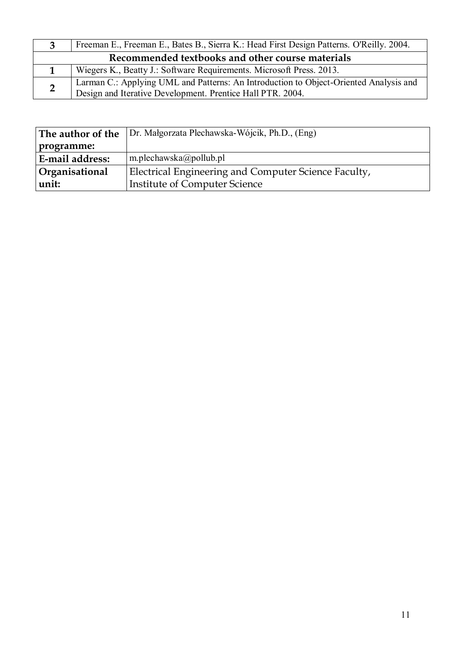| 3                                                | Freeman E., Freeman E., Bates B., Sierra K.: Head First Design Patterns. O'Reilly. 2004.                                                            |
|--------------------------------------------------|-----------------------------------------------------------------------------------------------------------------------------------------------------|
| Recommended textbooks and other course materials |                                                                                                                                                     |
|                                                  | Wiegers K., Beatty J.: Software Requirements. Microsoft Press. 2013.                                                                                |
|                                                  | Larman C.: Applying UML and Patterns: An Introduction to Object-Oriented Analysis and<br>Design and Iterative Development. Prentice Hall PTR. 2004. |

|                        | <b>The author of the</b> $ Dr.$ Małgorzata Plechawska-Wójcik, Ph.D., $(Eng)$ |
|------------------------|------------------------------------------------------------------------------|
| programme:             |                                                                              |
| <b>E-mail address:</b> | $\vert$ m.plechawska@pollub.pl                                               |
| <b>Organisational</b>  | Electrical Engineering and Computer Science Faculty,                         |
| unit:                  | <b>Institute of Computer Science</b>                                         |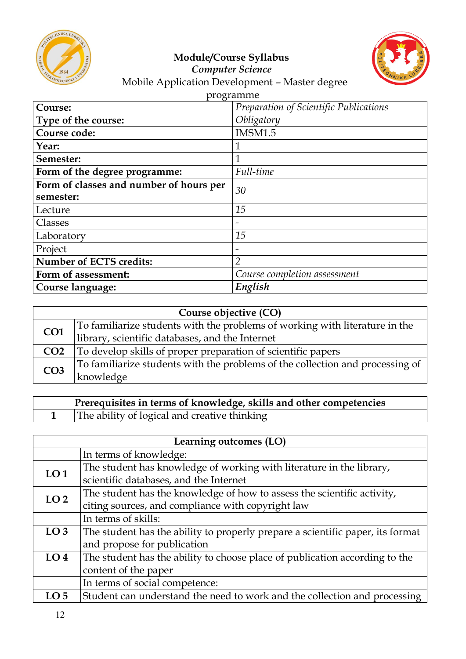



#### *Computer Science* Mobile Application Development – Master degree

| programme |
|-----------|
|-----------|

| Course:                                 | Preparation of Scientific Publications |
|-----------------------------------------|----------------------------------------|
| Type of the course:                     | Obligatory                             |
| Course code:                            | <b>IMSM1.5</b>                         |
| Year:                                   | 1                                      |
| Semester:                               | 1                                      |
| Form of the degree programme:           | Full-time                              |
| Form of classes and number of hours per | 30                                     |
| semester:                               |                                        |
| Lecture                                 | 15                                     |
| Classes                                 |                                        |
| Laboratory                              | 15                                     |
| Project                                 |                                        |
| <b>Number of ECTS credits:</b>          | $\overline{2}$                         |
| Form of assessment:                     | Course completion assessment           |
| Course language:                        | English                                |

| Course objective (CO) |                                                                               |
|-----------------------|-------------------------------------------------------------------------------|
| CO <sub>1</sub>       | To familiarize students with the problems of working with literature in the   |
|                       | library, scientific databases, and the Internet                               |
| CO <sub>2</sub>       | To develop skills of proper preparation of scientific papers                  |
| CO <sub>3</sub>       | To familiarize students with the problems of the collection and processing of |
|                       | knowledge                                                                     |

| Prerequisites in terms of knowledge, skills and other competencies |
|--------------------------------------------------------------------|
| The ability of logical and creative thinking                       |

| Learning outcomes (LO) |                                                                                |
|------------------------|--------------------------------------------------------------------------------|
|                        | In terms of knowledge:                                                         |
| LO <sub>1</sub>        | The student has knowledge of working with literature in the library,           |
|                        | scientific databases, and the Internet                                         |
| LO <sub>2</sub>        | The student has the knowledge of how to assess the scientific activity,        |
|                        | citing sources, and compliance with copyright law                              |
|                        | In terms of skills:                                                            |
| LO <sub>3</sub>        | The student has the ability to properly prepare a scientific paper, its format |
|                        | and propose for publication                                                    |
| LO <sub>4</sub>        | The student has the ability to choose place of publication according to the    |
|                        | content of the paper                                                           |
|                        | In terms of social competence:                                                 |
| LO <sub>5</sub>        | Student can understand the need to work and the collection and processing      |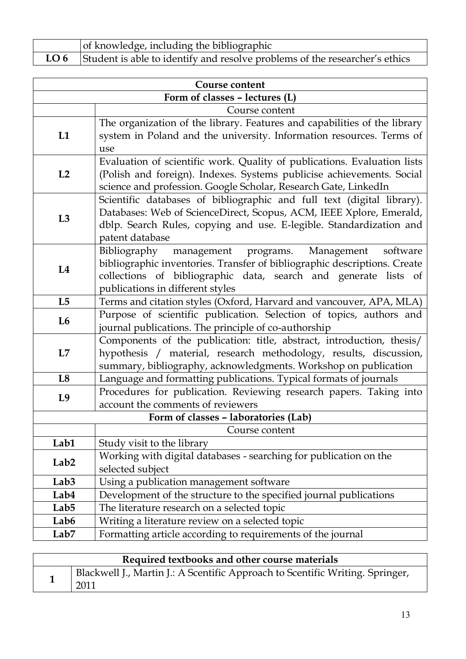| of knowledge, including the bibliographic                                        |
|----------------------------------------------------------------------------------|
| LO 6 Student is able to identify and resolve problems of the researcher's ethics |

| Course content                 |                                                                                        |  |
|--------------------------------|----------------------------------------------------------------------------------------|--|
| Form of classes - lectures (L) |                                                                                        |  |
|                                | Course content                                                                         |  |
|                                | The organization of the library. Features and capabilities of the library              |  |
| L1                             | system in Poland and the university. Information resources. Terms of                   |  |
|                                | use                                                                                    |  |
|                                | Evaluation of scientific work. Quality of publications. Evaluation lists               |  |
| L2                             | (Polish and foreign). Indexes. Systems publicise achievements. Social                  |  |
|                                | science and profession. Google Scholar, Research Gate, LinkedIn                        |  |
|                                | Scientific databases of bibliographic and full text (digital library).                 |  |
| L3                             | Databases: Web of ScienceDirect, Scopus, ACM, IEEE Xplore, Emerald,                    |  |
|                                | dblp. Search Rules, copying and use. E-legible. Standardization and<br>patent database |  |
|                                | Bibliography<br>management programs.<br>Management<br>software                         |  |
|                                | bibliographic inventories. Transfer of bibliographic descriptions. Create              |  |
| L4                             | collections of bibliographic data, search and generate lists of                        |  |
|                                | publications in different styles                                                       |  |
| L5                             | Terms and citation styles (Oxford, Harvard and vancouver, APA, MLA)                    |  |
|                                | Purpose of scientific publication. Selection of topics, authors and                    |  |
| L <sub>6</sub>                 | journal publications. The principle of co-authorship                                   |  |
|                                | Components of the publication: title, abstract, introduction, thesis/                  |  |
| L7                             | hypothesis / material, research methodology, results, discussion,                      |  |
|                                | summary, bibliography, acknowledgments. Workshop on publication                        |  |
| L8                             | Language and formatting publications. Typical formats of journals                      |  |
| L9                             | Procedures for publication. Reviewing research papers. Taking into                     |  |
|                                | account the comments of reviewers                                                      |  |
|                                | Form of classes - laboratories (Lab)                                                   |  |
|                                | Course content                                                                         |  |
| Lab1                           | Study visit to the library                                                             |  |
| Lab <sub>2</sub>               | Working with digital databases - searching for publication on the<br>selected subject  |  |
| Lab <sub>3</sub>               | Using a publication management software                                                |  |
| Lab4                           | Development of the structure to the specified journal publications                     |  |
| Lab <sub>5</sub>               | The literature research on a selected topic                                            |  |
| Lab6                           | Writing a literature review on a selected topic                                        |  |
| Lab <sub>7</sub>               | Formatting article according to requirements of the journal                            |  |
|                                |                                                                                        |  |

| Required textbooks and other course materials |                                                                                       |
|-----------------------------------------------|---------------------------------------------------------------------------------------|
|                                               | Blackwell J., Martin J.: A Scentific Approach to Scentific Writing. Springer,<br>2011 |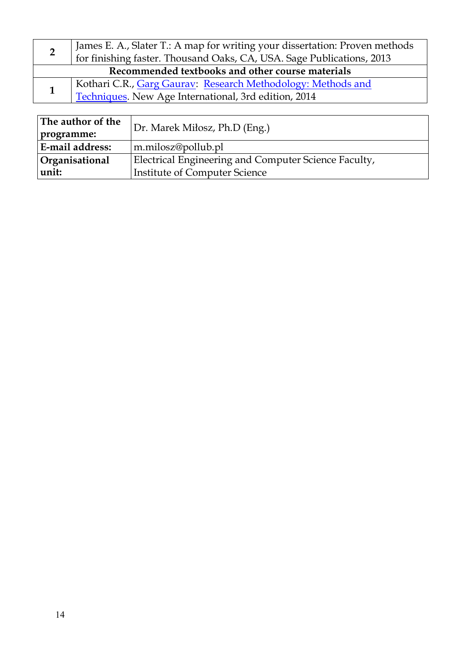|                                                  | James E. A., Slater T.: A map for writing your dissertation: Proven methods<br>for finishing faster. Thousand Oaks, CA, USA. Sage Publications, 2013 |  |
|--------------------------------------------------|------------------------------------------------------------------------------------------------------------------------------------------------------|--|
| Recommended textbooks and other course materials |                                                                                                                                                      |  |
|                                                  | Kothari C.R., Garg Gaurav: Research Methodology: Methods and                                                                                         |  |
|                                                  | Techniques. New Age International, 3rd edition, 2014                                                                                                 |  |
|                                                  |                                                                                                                                                      |  |

| <b>Techniques</b> , ivew Age international, the edition, 2014 |                                                      |  |
|---------------------------------------------------------------|------------------------------------------------------|--|
|                                                               |                                                      |  |
| The author of the                                             | Dr. Marek Miłosz, Ph.D (Eng.)                        |  |
| programme:                                                    |                                                      |  |
| <b>E-mail address:</b>                                        | m.milosz@pollub.pl                                   |  |
| Organisational                                                | Electrical Engineering and Computer Science Faculty, |  |
| unit:                                                         | <b>Institute of Computer Science</b>                 |  |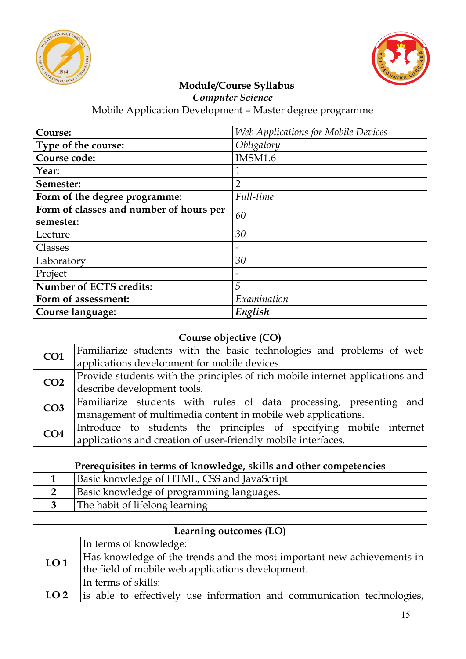



*Computer Science*

| Course:                                 | Web Applications for Mobile Devices |
|-----------------------------------------|-------------------------------------|
| Type of the course:                     | Obligatory                          |
| Course code:                            | <b>IMSM1.6</b>                      |
| Year:                                   | 1                                   |
| Semester:                               | $\overline{2}$                      |
| Form of the degree programme:           | Full-time                           |
| Form of classes and number of hours per | 60                                  |
| semester:                               |                                     |
| Lecture                                 | 30                                  |
| Classes                                 |                                     |
| Laboratory                              | 30                                  |
| Project                                 |                                     |
| <b>Number of ECTS credits:</b>          | 5                                   |
| Form of assessment:                     | Examination                         |
| Course language:                        | English                             |

| Course objective (CO) |                                                                               |  |
|-----------------------|-------------------------------------------------------------------------------|--|
| CO <sub>1</sub>       | Familiarize students with the basic technologies and problems of web          |  |
|                       | applications development for mobile devices.                                  |  |
| CO <sub>2</sub>       | Provide students with the principles of rich mobile internet applications and |  |
|                       | describe development tools.                                                   |  |
| CO <sub>3</sub>       | Familiarize students with rules of data processing, presenting and            |  |
|                       | management of multimedia content in mobile web applications.                  |  |
| CO <sub>4</sub>       | Introduce to students the principles of specifying mobile internet            |  |
|                       | applications and creation of user-friendly mobile interfaces.                 |  |

| Prerequisites in terms of knowledge, skills and other competencies |                                             |
|--------------------------------------------------------------------|---------------------------------------------|
|                                                                    | Basic knowledge of HTML, CSS and JavaScript |
|                                                                    | Basic knowledge of programming languages.   |
|                                                                    | The habit of lifelong learning              |

| Learning outcomes (LO) |                                                                                                                             |
|------------------------|-----------------------------------------------------------------------------------------------------------------------------|
|                        | In terms of knowledge:                                                                                                      |
| LO <sub>1</sub>        | Has knowledge of the trends and the most important new achievements in<br>the field of mobile web applications development. |
|                        | In terms of skills:                                                                                                         |
| LO <sub>2</sub>        | is able to effectively use information and communication technologies,                                                      |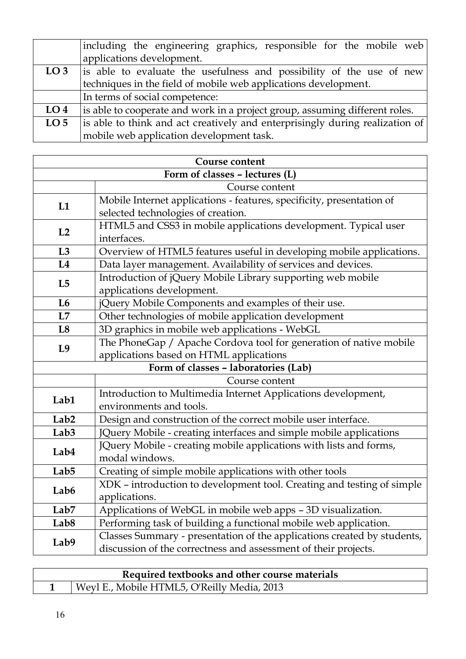|                 | including the engineering graphics, responsible for the mobile web           |
|-----------------|------------------------------------------------------------------------------|
|                 | applications development.                                                    |
| LO <sub>3</sub> | is able to evaluate the usefulness and possibility of the use of new         |
|                 | techniques in the field of mobile web applications development.              |
|                 | In terms of social competence:                                               |
| LO <sub>4</sub> | is able to cooperate and work in a project group, assuming different roles.  |
| LO <sub>5</sub> | is able to think and act creatively and enterprisingly during realization of |
|                 | mobile web application development task.                                     |

| <b>Course content</b>          |                                                                         |
|--------------------------------|-------------------------------------------------------------------------|
| Form of classes - lectures (L) |                                                                         |
|                                | Course content                                                          |
| L1                             | Mobile Internet applications - features, specificity, presentation of   |
|                                | selected technologies of creation.                                      |
| L2                             | HTML5 and CSS3 in mobile applications development. Typical user         |
|                                | interfaces.                                                             |
| L3                             | Overview of HTML5 features useful in developing mobile applications.    |
| L4                             | Data layer management. Availability of services and devices.            |
|                                | Introduction of jQuery Mobile Library supporting web mobile             |
| L5                             | applications development.                                               |
| L <sub>6</sub>                 | jQuery Mobile Components and examples of their use.                     |
| L7                             | Other technologies of mobile application development                    |
| L8                             | 3D graphics in mobile web applications - WebGL                          |
| L9                             | The PhoneGap / Apache Cordova tool for generation of native mobile      |
|                                | applications based on HTML applications                                 |
|                                | Form of classes - laboratories (Lab)                                    |
|                                | Course content                                                          |
| Lab1                           | Introduction to Multimedia Internet Applications development,           |
|                                | environments and tools.                                                 |
| Lab <sub>2</sub>               | Design and construction of the correct mobile user interface.           |
| Lab <sub>3</sub>               | JQuery Mobile - creating interfaces and simple mobile applications      |
| Lab4                           | JQuery Mobile - creating mobile applications with lists and forms,      |
|                                | modal windows.                                                          |
| Lab <sub>5</sub>               | Creating of simple mobile applications with other tools                 |
| Lab6                           | XDK - introduction to development tool. Creating and testing of simple  |
|                                | applications.                                                           |
| Lab7                           | Applications of WebGL in mobile web apps - 3D visualization.            |
| Lab <sub>8</sub>               | Performing task of building a functional mobile web application.        |
| Lab9                           | Classes Summary - presentation of the applications created by students, |
|                                | discussion of the correctness and assessment of their projects.         |

| Required textbooks and other course materials |                                             |
|-----------------------------------------------|---------------------------------------------|
|                                               | Weyl E., Mobile HTML5, O'Reilly Media, 2013 |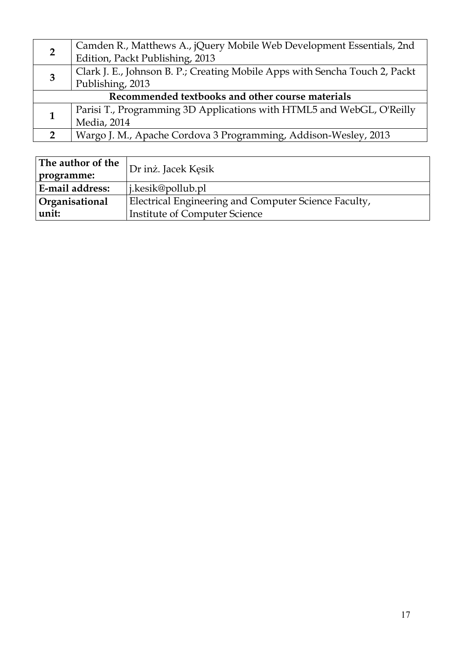| $\overline{2}$                                   | Camden R., Matthews A., jQuery Mobile Web Development Essentials, 2nd       |
|--------------------------------------------------|-----------------------------------------------------------------------------|
|                                                  | Edition, Packt Publishing, 2013                                             |
| 3                                                | Clark J. E., Johnson B. P.; Creating Mobile Apps with Sencha Touch 2, Packt |
|                                                  | Publishing, 2013                                                            |
| Recommended textbooks and other course materials |                                                                             |
|                                                  | Parisi T., Programming 3D Applications with HTML5 and WebGL, O'Reilly       |
|                                                  | Media, 2014                                                                 |
|                                                  | Wargo J. M., Apache Cordova 3 Programming, Addison-Wesley, 2013             |

| The author of the | Dr inż. Jacek Kęsik                                  |  |
|-------------------|------------------------------------------------------|--|
| programme:        |                                                      |  |
| E-mail address:   | $\vert$ i.kesik@pollub.pl                            |  |
| Organisational    | Electrical Engineering and Computer Science Faculty, |  |
| unit:             | Institute of Computer Science                        |  |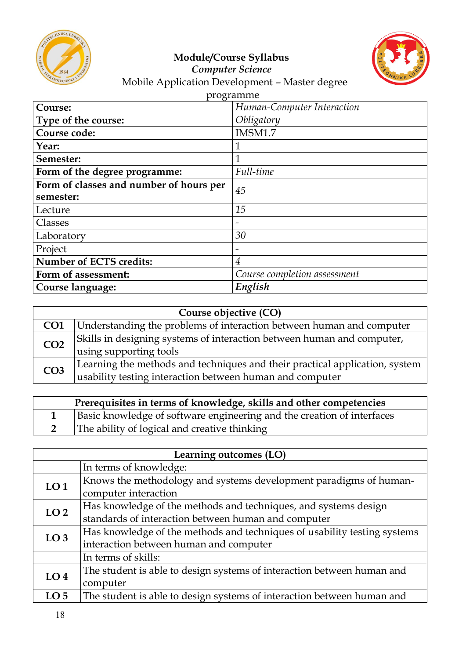



#### *Computer Science* Mobile Application Development – Master degree

| programme                               |                              |  |
|-----------------------------------------|------------------------------|--|
| Course:                                 | Human-Computer Interaction   |  |
| Type of the course:                     | Obligatory                   |  |
| Course code:                            | IMSM1.7                      |  |
| Year:                                   | $\overline{1}$               |  |
| Semester:                               | $\mathbf{1}$                 |  |
| Form of the degree programme:           | Full-time                    |  |
| Form of classes and number of hours per | 45                           |  |
| semester:                               |                              |  |
| Lecture                                 | 15                           |  |
| Classes                                 | $\overline{\phantom{0}}$     |  |
| Laboratory                              | 30                           |  |
| Project                                 | $\overline{\phantom{a}}$     |  |
| <b>Number of ECTS credits:</b>          | $\overline{4}$               |  |
| Form of assessment:                     | Course completion assessment |  |
| Course language:                        | English                      |  |

| Course objective (CO) |                                                                             |
|-----------------------|-----------------------------------------------------------------------------|
| CO <sub>1</sub>       | Understanding the problems of interaction between human and computer        |
| CO <sub>2</sub>       | Skills in designing systems of interaction between human and computer,      |
|                       | using supporting tools                                                      |
| CO <sub>3</sub>       | Learning the methods and techniques and their practical application, system |
|                       | usability testing interaction between human and computer                    |

| Prerequisites in terms of knowledge, skills and other competencies |                                                                        |
|--------------------------------------------------------------------|------------------------------------------------------------------------|
|                                                                    | Basic knowledge of software engineering and the creation of interfaces |
|                                                                    | The ability of logical and creative thinking                           |

| Learning outcomes (LO) |                                                                          |  |
|------------------------|--------------------------------------------------------------------------|--|
|                        | In terms of knowledge:                                                   |  |
| LO <sub>1</sub>        | Knows the methodology and systems development paradigms of human-        |  |
|                        | computer interaction                                                     |  |
| LO <sub>2</sub>        | Has knowledge of the methods and techniques, and systems design          |  |
|                        | standards of interaction between human and computer                      |  |
| LO <sub>3</sub>        | Has knowledge of the methods and techniques of usability testing systems |  |
|                        | interaction between human and computer                                   |  |
|                        | In terms of skills:                                                      |  |
| LO <sub>4</sub>        | The student is able to design systems of interaction between human and   |  |
|                        | computer                                                                 |  |
| LO <sub>5</sub>        | The student is able to design systems of interaction between human and   |  |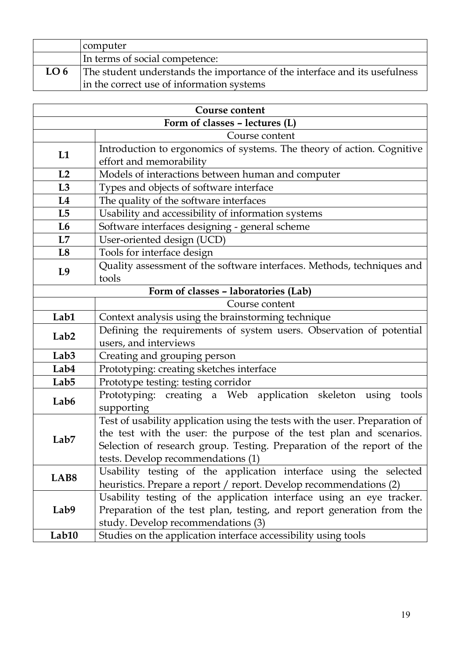|                 | computer                                                                   |
|-----------------|----------------------------------------------------------------------------|
|                 | In terms of social competence:                                             |
| LO <sub>6</sub> | The student understands the importance of the interface and its usefulness |
|                 | in the correct use of information systems                                  |

| <b>Course content</b>                |                                                                             |  |
|--------------------------------------|-----------------------------------------------------------------------------|--|
| Form of classes - lectures (L)       |                                                                             |  |
|                                      | Course content                                                              |  |
| L1                                   | Introduction to ergonomics of systems. The theory of action. Cognitive      |  |
|                                      | effort and memorability                                                     |  |
| L2                                   | Models of interactions between human and computer                           |  |
| L3                                   | Types and objects of software interface                                     |  |
| L4                                   | The quality of the software interfaces                                      |  |
| L5                                   | Usability and accessibility of information systems                          |  |
| L6                                   | Software interfaces designing - general scheme                              |  |
| L7                                   | User-oriented design (UCD)                                                  |  |
| L8                                   | Tools for interface design                                                  |  |
| L <sub>9</sub>                       | Quality assessment of the software interfaces. Methods, techniques and      |  |
|                                      | tools                                                                       |  |
| Form of classes - laboratories (Lab) |                                                                             |  |
|                                      | Course content                                                              |  |
| Lab1                                 | Context analysis using the brainstorming technique                          |  |
| Lab <sub>2</sub>                     | Defining the requirements of system users. Observation of potential         |  |
|                                      | users, and interviews                                                       |  |
| Lab <sub>3</sub>                     | Creating and grouping person                                                |  |
| Lab4                                 | Prototyping: creating sketches interface                                    |  |
| Lab <sub>5</sub>                     | Prototype testing: testing corridor                                         |  |
| Lab <sub>6</sub>                     | Prototyping: creating a Web application skeleton using<br>tools             |  |
|                                      | supporting                                                                  |  |
|                                      | Test of usability application using the tests with the user. Preparation of |  |
| Lab <sub>7</sub>                     | the test with the user: the purpose of the test plan and scenarios.         |  |
|                                      | Selection of research group. Testing. Preparation of the report of the      |  |
|                                      | tests. Develop recommendations (1)                                          |  |
| LAB <sub>8</sub>                     | Usability testing of the application interface using the selected           |  |
|                                      | heuristics. Prepare a report / report. Develop recommendations (2)          |  |
|                                      | Usability testing of the application interface using an eye tracker.        |  |
| Lab9                                 | Preparation of the test plan, testing, and report generation from the       |  |
|                                      | study. Develop recommendations (3)                                          |  |
| Lab10                                | Studies on the application interface accessibility using tools              |  |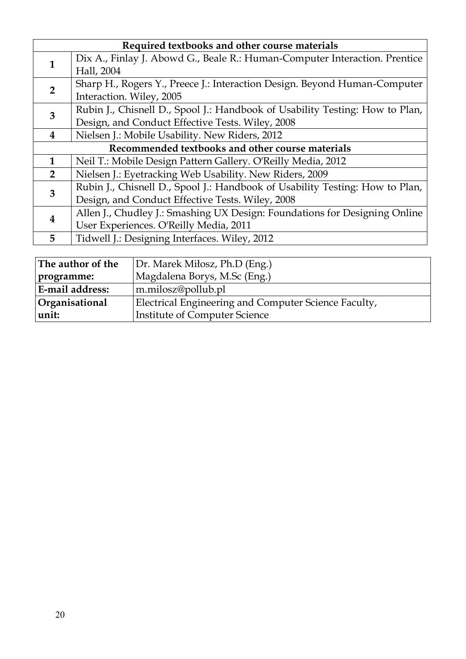| Required textbooks and other course materials                                     |                                                                              |  |
|-----------------------------------------------------------------------------------|------------------------------------------------------------------------------|--|
| 1                                                                                 | Dix A., Finlay J. Abowd G., Beale R.: Human-Computer Interaction. Prentice   |  |
|                                                                                   | Hall, 2004                                                                   |  |
| $\overline{2}$                                                                    | Sharp H., Rogers Y., Preece J.: Interaction Design. Beyond Human-Computer    |  |
|                                                                                   | Interaction. Wiley, 2005                                                     |  |
| Rubin J., Chisnell D., Spool J.: Handbook of Usability Testing: How to Plan,<br>3 |                                                                              |  |
|                                                                                   | Design, and Conduct Effective Tests. Wiley, 2008                             |  |
| $\overline{\mathbf{4}}$                                                           | Nielsen J.: Mobile Usability. New Riders, 2012                               |  |
| Recommended textbooks and other course materials                                  |                                                                              |  |
| $\mathbf{1}$                                                                      | Neil T.: Mobile Design Pattern Gallery. O'Reilly Media, 2012                 |  |
| $\overline{2}$                                                                    | Nielsen J.: Eyetracking Web Usability. New Riders, 2009                      |  |
| 3                                                                                 | Rubin J., Chisnell D., Spool J.: Handbook of Usability Testing: How to Plan, |  |
|                                                                                   | Design, and Conduct Effective Tests. Wiley, 2008                             |  |
| $\boldsymbol{4}$                                                                  | Allen J., Chudley J.: Smashing UX Design: Foundations for Designing Online   |  |
|                                                                                   | User Experiences. O'Reilly Media, 2011                                       |  |
| 5                                                                                 | Tidwell J.: Designing Interfaces. Wiley, 2012                                |  |
|                                                                                   |                                                                              |  |

| The author of the      | Dr. Marek Miłosz, Ph.D (Eng.)                        |
|------------------------|------------------------------------------------------|
| programme:             | Magdalena Borys, M.Sc (Eng.)                         |
| <b>E-mail address:</b> | m.milosz@pollub.pl                                   |
| Organisational         | Electrical Engineering and Computer Science Faculty, |
| unit:                  | <b>Institute of Computer Science</b>                 |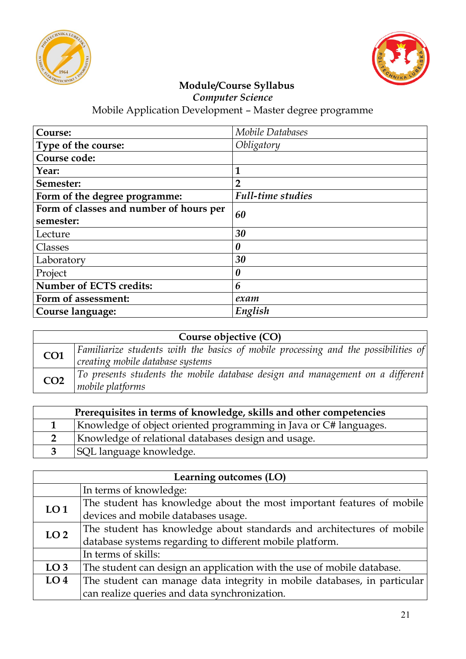



*Computer Science*

| Course:                                 | <b>Mobile Databases</b>  |  |
|-----------------------------------------|--------------------------|--|
| Type of the course:                     | Obligatory               |  |
| Course code:                            |                          |  |
| Year:                                   | 1                        |  |
| Semester:                               | $\overline{2}$           |  |
| Form of the degree programme:           | <b>Full-time studies</b> |  |
| Form of classes and number of hours per | 60                       |  |
| semester:                               |                          |  |
| Lecture                                 | 30                       |  |
| Classes                                 | $\boldsymbol{\theta}$    |  |
| Laboratory                              | 30                       |  |
| Project                                 | $\boldsymbol{\theta}$    |  |
| <b>Number of ECTS credits:</b>          | 6                        |  |
| Form of assessment:                     | exam                     |  |
| Course language:                        | English                  |  |

| Course objective (CO) |                                                                                                                                |  |
|-----------------------|--------------------------------------------------------------------------------------------------------------------------------|--|
| CO1                   | $\vert$ Familiarize students with the basics of mobile processing and the possibilities of<br>creating mobile database systems |  |
| CO <sub>2</sub>       | To presents students the mobile database design and management on a different<br>mobile platforms                              |  |

| Prerequisites in terms of knowledge, skills and other competencies |                                                                   |  |
|--------------------------------------------------------------------|-------------------------------------------------------------------|--|
|                                                                    | Knowledge of object oriented programming in Java or C# languages. |  |
|                                                                    | Knowledge of relational databases design and usage.               |  |
|                                                                    | <b>SQL</b> language knowledge.                                    |  |

| Learning outcomes (LO) |                                                                          |  |
|------------------------|--------------------------------------------------------------------------|--|
|                        | In terms of knowledge:                                                   |  |
| LO <sub>1</sub>        | The student has knowledge about the most important features of mobile    |  |
|                        | devices and mobile databases usage.                                      |  |
| LO <sub>2</sub>        | The student has knowledge about standards and architectures of mobile    |  |
|                        | database systems regarding to different mobile platform.                 |  |
|                        | In terms of skills:                                                      |  |
| LO <sub>3</sub>        | The student can design an application with the use of mobile database.   |  |
| LO <sub>4</sub>        | The student can manage data integrity in mobile databases, in particular |  |
|                        | can realize queries and data synchronization.                            |  |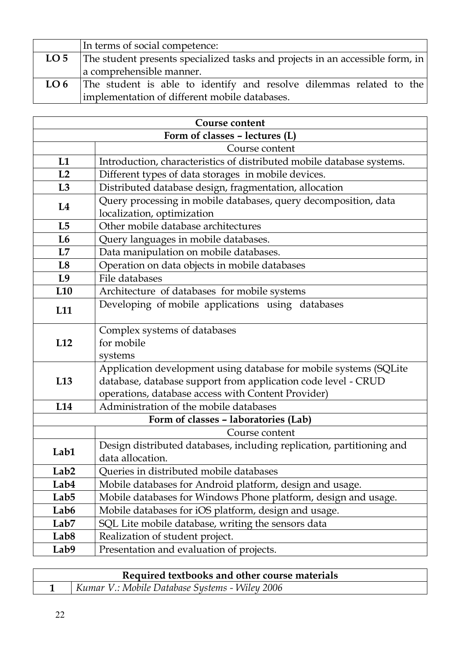|                 | In terms of social competence:                                                |  |
|-----------------|-------------------------------------------------------------------------------|--|
| LO <sub>5</sub> | The student presents specialized tasks and projects in an accessible form, in |  |
|                 | a comprehensible manner.                                                      |  |
| LO <sub>6</sub> | The student is able to identify and resolve dilemmas related to the           |  |
|                 | implementation of different mobile databases.                                 |  |

| Course content                                                                                                                                                                                  |                                                                                               |  |  |
|-------------------------------------------------------------------------------------------------------------------------------------------------------------------------------------------------|-----------------------------------------------------------------------------------------------|--|--|
| Form of classes - lectures (L)                                                                                                                                                                  |                                                                                               |  |  |
|                                                                                                                                                                                                 | Course content                                                                                |  |  |
| L1                                                                                                                                                                                              | Introduction, characteristics of distributed mobile database systems.                         |  |  |
| L2                                                                                                                                                                                              | Different types of data storages in mobile devices.                                           |  |  |
| L3                                                                                                                                                                                              | Distributed database design, fragmentation, allocation                                        |  |  |
| L4                                                                                                                                                                                              | Query processing in mobile databases, query decomposition, data<br>localization, optimization |  |  |
| L5                                                                                                                                                                                              | Other mobile database architectures                                                           |  |  |
| L <sub>6</sub>                                                                                                                                                                                  | Query languages in mobile databases.                                                          |  |  |
| L7                                                                                                                                                                                              | Data manipulation on mobile databases.                                                        |  |  |
| L8                                                                                                                                                                                              | Operation on data objects in mobile databases                                                 |  |  |
| L9                                                                                                                                                                                              | File databases                                                                                |  |  |
| L <sub>10</sub>                                                                                                                                                                                 | Architecture of databases for mobile systems                                                  |  |  |
| L11                                                                                                                                                                                             | Developing of mobile applications using databases                                             |  |  |
| L12                                                                                                                                                                                             | Complex systems of databases<br>for mobile<br>systems                                         |  |  |
| Application development using database for mobile systems (SQLite<br>database, database support from application code level - CRUD<br>L13<br>operations, database access with Content Provider) |                                                                                               |  |  |
| L14                                                                                                                                                                                             | Administration of the mobile databases                                                        |  |  |
|                                                                                                                                                                                                 | Form of classes - laboratories (Lab)                                                          |  |  |
|                                                                                                                                                                                                 | Course content                                                                                |  |  |
| Lab1                                                                                                                                                                                            | Design distributed databases, including replication, partitioning and<br>data allocation.     |  |  |
| Lab <sub>2</sub>                                                                                                                                                                                | Queries in distributed mobile databases                                                       |  |  |
| Lab4                                                                                                                                                                                            | Mobile databases for Android platform, design and usage.                                      |  |  |
| Lab <sub>5</sub>                                                                                                                                                                                | Mobile databases for Windows Phone platform, design and usage.                                |  |  |
| Lab <sub>6</sub>                                                                                                                                                                                | Mobile databases for iOS platform, design and usage.                                          |  |  |
| Lab <sub>7</sub>                                                                                                                                                                                | SQL Lite mobile database, writing the sensors data                                            |  |  |
| Lab <sub>8</sub>                                                                                                                                                                                | Realization of student project.                                                               |  |  |
| Lab9                                                                                                                                                                                            | Presentation and evaluation of projects.                                                      |  |  |

| Required textbooks and other course materials |                                                |  |
|-----------------------------------------------|------------------------------------------------|--|
|                                               | Kumar V.: Mobile Database Systems - Wiley 2006 |  |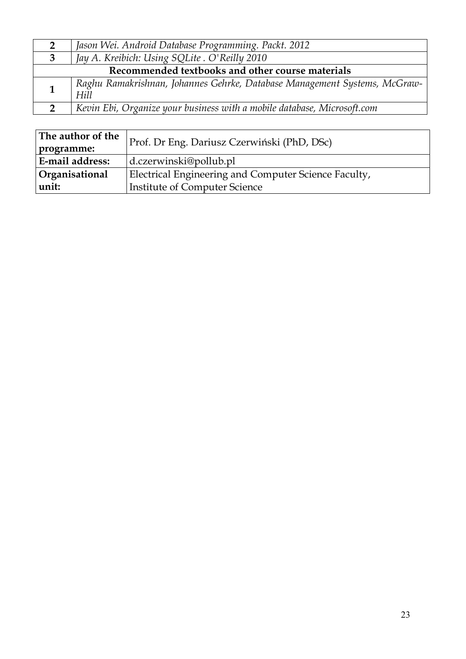| 2                                                | Jason Wei. Android Database Programming. Packt. 2012                              |  |
|--------------------------------------------------|-----------------------------------------------------------------------------------|--|
| 3                                                | Jay A. Kreibich: Using SQLite . O'Reilly 2010                                     |  |
| Recommended textbooks and other course materials |                                                                                   |  |
|                                                  | Raghu Ramakrishnan, Johannes Gehrke, Database Management Systems, McGraw-<br>Hill |  |
|                                                  | Kevin Ebi, Organize your business with a mobile database, Microsoft.com           |  |

| The author of the | Prof. Dr Eng. Dariusz Czerwiński (PhD, DSc)          |  |
|-------------------|------------------------------------------------------|--|
| programme:        |                                                      |  |
| E-mail address:   | $d$ .czerwinski@pollub.pl                            |  |
| Organisational    | Electrical Engineering and Computer Science Faculty, |  |
| unit:             | Institute of Computer Science                        |  |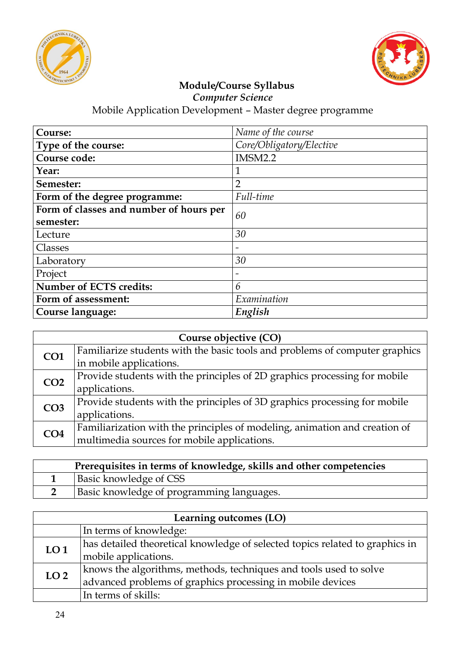



*Computer Science*

| Course:                                 | Name of the course       |  |
|-----------------------------------------|--------------------------|--|
| Type of the course:                     | Core/Obligatory/Elective |  |
| Course code:                            | IMSM2.2                  |  |
| Year:                                   | 1                        |  |
| Semester:                               | $\overline{2}$           |  |
| Form of the degree programme:           | Full-time                |  |
| Form of classes and number of hours per | 60                       |  |
| semester:                               |                          |  |
| Lecture                                 | 30                       |  |
| Classes                                 | $\overline{\phantom{0}}$ |  |
| Laboratory                              | 30                       |  |
| Project                                 |                          |  |
| <b>Number of ECTS credits:</b>          | 6                        |  |
| Form of assessment:                     | Examination              |  |
| Course language:                        | English                  |  |

| Course objective (CO) |                                                                             |
|-----------------------|-----------------------------------------------------------------------------|
| CO <sub>1</sub>       | Familiarize students with the basic tools and problems of computer graphics |
|                       | in mobile applications.                                                     |
| CO <sub>2</sub>       | Provide students with the principles of 2D graphics processing for mobile   |
|                       | applications.                                                               |
| CO <sub>3</sub>       | Provide students with the principles of 3D graphics processing for mobile   |
|                       | applications.                                                               |
| CO <sub>4</sub>       | Familiarization with the principles of modeling, animation and creation of  |
|                       | multimedia sources for mobile applications.                                 |

| Prerequisites in terms of knowledge, skills and other competencies |                                           |
|--------------------------------------------------------------------|-------------------------------------------|
|                                                                    | Basic knowledge of CSS                    |
|                                                                    | Basic knowledge of programming languages. |

| Learning outcomes (LO) |                                                                              |
|------------------------|------------------------------------------------------------------------------|
|                        | In terms of knowledge:                                                       |
| LO <sub>1</sub>        | has detailed theoretical knowledge of selected topics related to graphics in |
|                        | mobile applications.                                                         |
| LO <sub>2</sub>        | knows the algorithms, methods, techniques and tools used to solve            |
|                        | advanced problems of graphics processing in mobile devices                   |
|                        | In terms of skills:                                                          |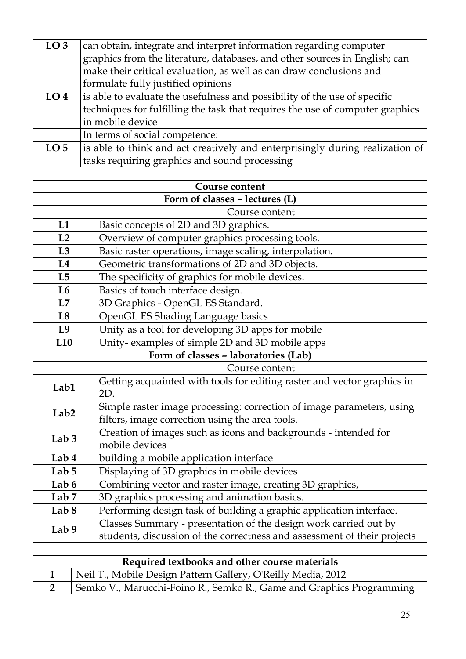| LO <sub>3</sub> | can obtain, integrate and interpret information regarding computer            |
|-----------------|-------------------------------------------------------------------------------|
|                 | graphics from the literature, databases, and other sources in English; can    |
|                 | make their critical evaluation, as well as can draw conclusions and           |
|                 | formulate fully justified opinions                                            |
| LO <sub>4</sub> | is able to evaluate the usefulness and possibility of the use of specific     |
|                 | techniques for fulfilling the task that requires the use of computer graphics |
|                 | in mobile device                                                              |
|                 | In terms of social competence:                                                |
| LO <sub>5</sub> | is able to think and act creatively and enterprisingly during realization of  |
|                 | tasks requiring graphics and sound processing                                 |

| <b>Course content</b>          |                                                                                                                          |  |
|--------------------------------|--------------------------------------------------------------------------------------------------------------------------|--|
| Form of classes - lectures (L) |                                                                                                                          |  |
|                                | Course content                                                                                                           |  |
| L1                             | Basic concepts of 2D and 3D graphics.                                                                                    |  |
| L2                             | Overview of computer graphics processing tools.                                                                          |  |
| L3                             | Basic raster operations, image scaling, interpolation.                                                                   |  |
| L4                             | Geometric transformations of 2D and 3D objects.                                                                          |  |
| L5                             | The specificity of graphics for mobile devices.                                                                          |  |
| L6                             | Basics of touch interface design.                                                                                        |  |
| L7                             | 3D Graphics - OpenGL ES Standard.                                                                                        |  |
| L8                             | OpenGL ES Shading Language basics                                                                                        |  |
| L9                             | Unity as a tool for developing 3D apps for mobile                                                                        |  |
| L <sub>10</sub>                | Unity-examples of simple 2D and 3D mobile apps                                                                           |  |
|                                | Form of classes - laboratories (Lab)                                                                                     |  |
|                                | Course content                                                                                                           |  |
| Lab1                           | Getting acquainted with tools for editing raster and vector graphics in<br>2D.                                           |  |
| Lab <sub>2</sub>               | Simple raster image processing: correction of image parameters, using<br>filters, image correction using the area tools. |  |
| Lab $3$                        | Creation of images such as icons and backgrounds - intended for<br>mobile devices                                        |  |
| Lab 4                          | building a mobile application interface                                                                                  |  |
| Lab $5$                        | Displaying of 3D graphics in mobile devices                                                                              |  |
| Lab 6                          | Combining vector and raster image, creating 3D graphics,                                                                 |  |
| Lab <sub>7</sub>               | 3D graphics processing and animation basics.                                                                             |  |
| Lab 8                          | Performing design task of building a graphic application interface.                                                      |  |
| Lab 9                          | Classes Summary - presentation of the design work carried out by                                                         |  |
|                                | students, discussion of the correctness and assessment of their projects                                                 |  |

| Required textbooks and other course materials |                                                                      |
|-----------------------------------------------|----------------------------------------------------------------------|
|                                               | Neil T., Mobile Design Pattern Gallery, O'Reilly Media, 2012         |
|                                               | Semko V., Marucchi-Foino R., Semko R., Game and Graphics Programming |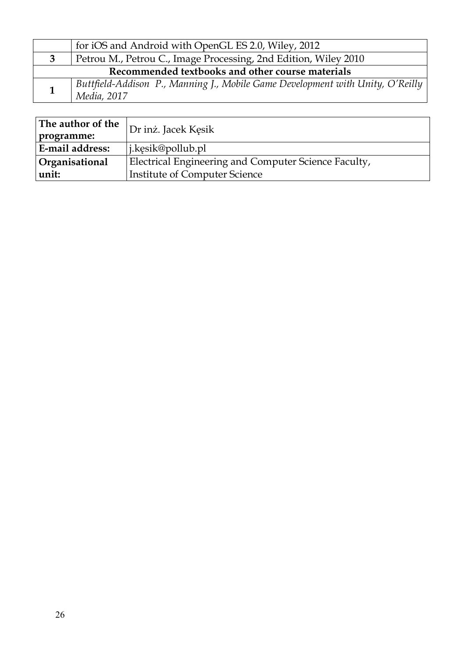|                                                  | for iOS and Android with OpenGL ES 2.0, Wiley, 2012                                           |  |
|--------------------------------------------------|-----------------------------------------------------------------------------------------------|--|
|                                                  | Petrou M., Petrou C., Image Processing, 2nd Edition, Wiley 2010                               |  |
| Recommended textbooks and other course materials |                                                                                               |  |
|                                                  | Buttfield-Addison P., Manning J., Mobile Game Development with Unity, O'Reilly<br>Media, 2017 |  |

| The author of the     | Dr inż. Jacek Kęsik                                  |  |
|-----------------------|------------------------------------------------------|--|
| programme:            |                                                      |  |
| E-mail address:       | $\vert$ j.kesik@pollub.pl                            |  |
| <b>Organisational</b> | Electrical Engineering and Computer Science Faculty, |  |
| unit:                 | <b>Institute of Computer Science</b>                 |  |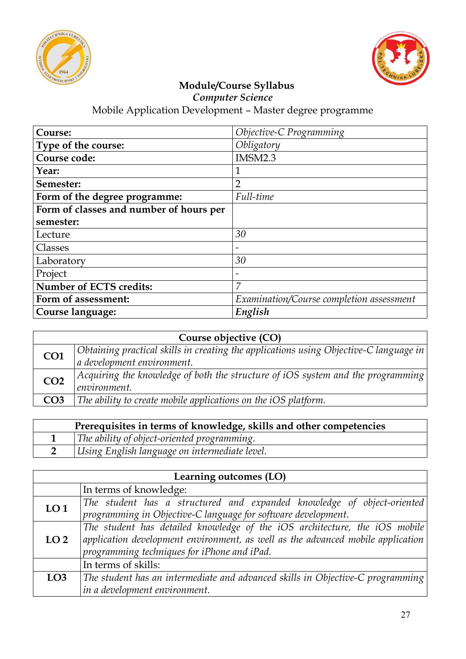



*Computer Science*

| Course:                                 | Objective-C Programming                  |
|-----------------------------------------|------------------------------------------|
| Type of the course:                     | Obligatory                               |
| Course code:                            | IMSM2.3                                  |
| Year:                                   |                                          |
| Semester:                               | $\overline{2}$                           |
| Form of the degree programme:           | Full-time                                |
| Form of classes and number of hours per |                                          |
| semester:                               |                                          |
| Lecture                                 | 30                                       |
| Classes                                 |                                          |
| Laboratory                              | 30                                       |
| Project                                 | $\overline{\phantom{a}}$                 |
| Number of ECTS credits:                 | 7                                        |
| Form of assessment:                     | Examination/Course completion assessment |
| Course language:                        | English                                  |

| Course objective (CO) |                                                                                                     |
|-----------------------|-----------------------------------------------------------------------------------------------------|
| CO <sub>1</sub>       | $\mid$ Obtaining practical skills in creating the applications using Objective-C language in $\mid$ |
|                       | a development environment.                                                                          |
| CO <sub>2</sub>       | Acquiring the knowledge of both the structure of iOS system and the programming                     |
|                       | environment.                                                                                        |
| CO <sub>3</sub>       | The ability to create mobile applications on the iOS platform.                                      |
|                       |                                                                                                     |

| Prerequisites in terms of knowledge, skills and other competencies |                                               |
|--------------------------------------------------------------------|-----------------------------------------------|
|                                                                    | The ability of object-oriented programming.   |
|                                                                    | Using English language on intermediate level. |

| Learning outcomes (LO) |                                                                                          |
|------------------------|------------------------------------------------------------------------------------------|
|                        | In terms of knowledge:                                                                   |
| LO <sub>1</sub>        | The student has a structured and expanded knowledge of object-oriented                   |
|                        | programming in Objective-C language for software development.                            |
|                        | The student has detailed knowledge of the iOS architecture, the iOS mobile               |
| LO <sub>2</sub>        | $\alpha$ application development environment, as well as the advanced mobile application |
|                        | programming techniques for iPhone and iPad.                                              |
|                        | In terms of skills:                                                                      |
| LO <sub>3</sub>        | The student has an intermediate and advanced skills in Objective-C programming           |
|                        | in a development environment.                                                            |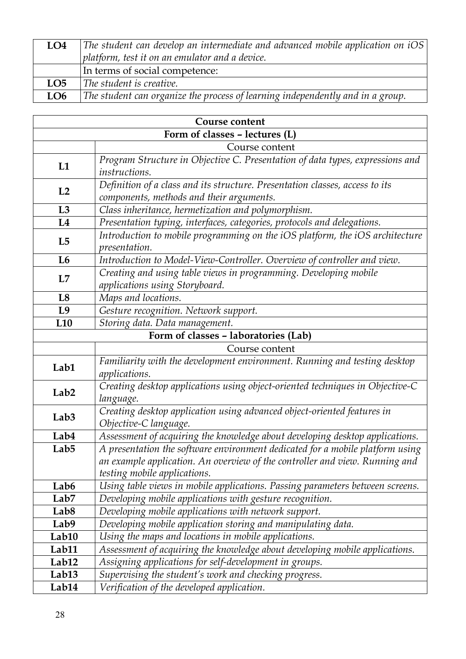| LO4             | The student can develop an intermediate and advanced mobile application on iOS |
|-----------------|--------------------------------------------------------------------------------|
|                 | platform, test it on an emulator and a device.                                 |
|                 | In terms of social competence:                                                 |
| LO <sub>5</sub> | The student is creative.                                                       |
| LO <sub>6</sub> | The student can organize the process of learning independently and in a group. |

| Course content                                    |                                                                                                               |  |
|---------------------------------------------------|---------------------------------------------------------------------------------------------------------------|--|
| Form of classes - lectures (L)                    |                                                                                                               |  |
|                                                   | Course content                                                                                                |  |
| L1                                                | Program Structure in Objective C. Presentation of data types, expressions and                                 |  |
|                                                   | instructions.                                                                                                 |  |
| L2                                                | Definition of a class and its structure. Presentation classes, access to its                                  |  |
|                                                   | components, methods and their arguments.                                                                      |  |
| L3                                                | Class inheritance, hermetization and polymorphism.                                                            |  |
| L4                                                | Presentation typing, interfaces, categories, protocols and delegations.                                       |  |
| L <sub>5</sub>                                    | Introduction to mobile programming on the iOS platform, the iOS architecture                                  |  |
|                                                   | <i>presentation.</i>                                                                                          |  |
| L <sub>6</sub>                                    | Introduction to Model-View-Controller. Overview of controller and view.                                       |  |
| L7                                                | Creating and using table views in programming. Developing mobile                                              |  |
|                                                   | applications using Storyboard.                                                                                |  |
| L8                                                | Maps and locations.                                                                                           |  |
| L9                                                | Gesture recognition. Network support.                                                                         |  |
| Storing data. Data management.<br>L <sub>10</sub> |                                                                                                               |  |
| Form of classes - laboratories (Lab)              |                                                                                                               |  |
|                                                   | Course content                                                                                                |  |
| Lab1                                              | Familiarity with the development environment. Running and testing desktop                                     |  |
|                                                   | applications.                                                                                                 |  |
| Lab <sub>2</sub>                                  | Creating desktop applications using object-oriented techniques in Objective-C                                 |  |
|                                                   | language.                                                                                                     |  |
| Lab <sub>3</sub>                                  | Creating desktop application using advanced object-oriented features in                                       |  |
|                                                   | Objective-C language.                                                                                         |  |
| Lab4                                              | Assessment of acquiring the knowledge about developing desktop applications.                                  |  |
| Lab <sub>5</sub>                                  | A presentation the software environment dedicated for a mobile platform using                                 |  |
|                                                   | an example application. An overview of the controller and view. Running and                                   |  |
| Lab <sub>6</sub>                                  | testing mobile applications.<br>Using table views in mobile applications. Passing parameters between screens. |  |
| Lab <sub>7</sub>                                  | Developing mobile applications with gesture recognition.                                                      |  |
| Lab <sub>8</sub>                                  | Developing mobile applications with network support.                                                          |  |
| Lab9                                              | Developing mobile application storing and manipulating data.                                                  |  |
| Lab10                                             | Using the maps and locations in mobile applications.                                                          |  |
| Lab11                                             | Assessment of acquiring the knowledge about developing mobile applications.                                   |  |
| Lab12                                             | Assigning applications for self-development in groups.                                                        |  |
| Lab <sub>13</sub>                                 | Supervising the student's work and checking progress.                                                         |  |
| Lab14                                             | Verification of the developed application.                                                                    |  |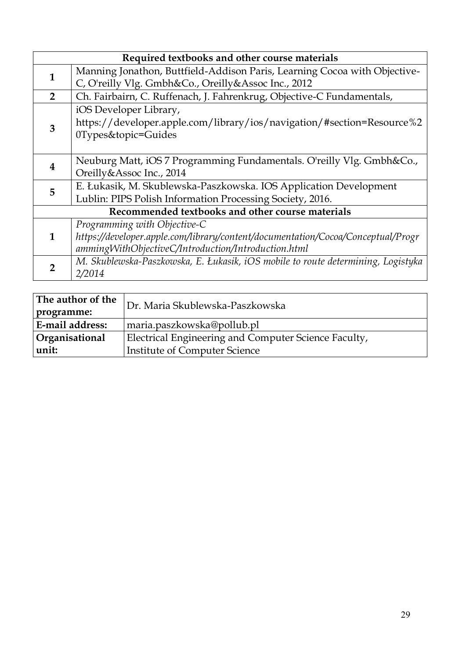|                | Required textbooks and other course materials                                    |  |
|----------------|----------------------------------------------------------------------------------|--|
| 1              | Manning Jonathon, Buttfield-Addison Paris, Learning Cocoa with Objective-        |  |
|                | C, O'reilly Vlg. Gmbh&Co., Oreilly&Assoc Inc., 2012                              |  |
| $\overline{2}$ | Ch. Fairbairn, C. Ruffenach, J. Fahrenkrug, Objective-C Fundamentals,            |  |
|                | iOS Developer Library,                                                           |  |
| 3              | https://developer.apple.com/library/ios/navigation/#section=Resource%2           |  |
|                | 0Types&topic=Guides                                                              |  |
|                |                                                                                  |  |
| 4              | Neuburg Matt, iOS 7 Programming Fundamentals. O'reilly Vlg. Gmbh&Co.,            |  |
|                | Oreilly&Assoc Inc., 2014                                                         |  |
| 5              | E. Łukasik, M. Skublewska-Paszkowska. IOS Application Development                |  |
|                | Lublin: PIPS Polish Information Processing Society, 2016.                        |  |
|                | Recommended textbooks and other course materials                                 |  |
| 1              | Programming with Objective-C                                                     |  |
|                | https://developer.apple.com/library/content/documentation/Cocoa/Conceptual/Progr |  |
|                | ammingWithObjectiveC/Introduction/Introduction.html                              |  |
|                | M. Skublewska-Paszkowska, E. Łukasik, iOS mobile to route determining, Logistyka |  |
|                | 2/2014                                                                           |  |

| The author of the<br>programme: | Dr. Maria Skublewska-Paszkowska                      |
|---------------------------------|------------------------------------------------------|
| E-mail address:                 | maria.paszkowska@pollub.pl                           |
| Organisational                  | Electrical Engineering and Computer Science Faculty, |
| unit:                           | Institute of Computer Science                        |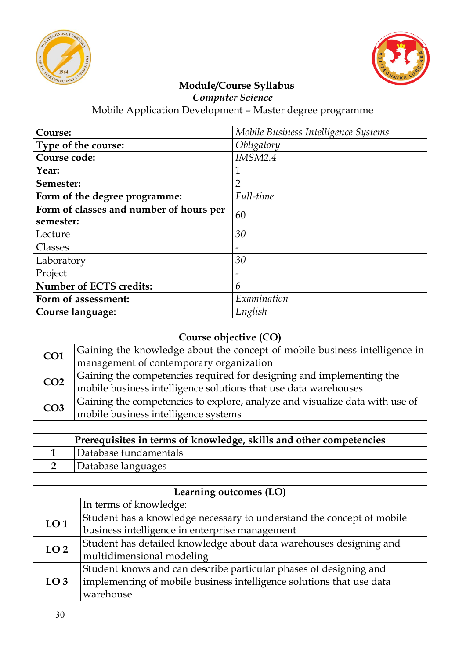



*Computer Science*

| Course:                                 | Mobile Business Intelligence Systems |  |
|-----------------------------------------|--------------------------------------|--|
| Type of the course:                     | Obligatory                           |  |
| Course code:                            | <b>IMSM2.4</b>                       |  |
| Year:                                   | 1                                    |  |
| Semester:                               | $\overline{2}$                       |  |
| Form of the degree programme:           | Full-time                            |  |
| Form of classes and number of hours per | 60                                   |  |
| semester:                               |                                      |  |
| Lecture                                 | 30                                   |  |
| Classes                                 |                                      |  |
| Laboratory                              | 30                                   |  |
| Project                                 |                                      |  |
| <b>Number of ECTS credits:</b>          | 6                                    |  |
| Form of assessment:                     | Examination                          |  |
| Course language:                        | English                              |  |

| Course objective (CO) |                                                                                                                                      |
|-----------------------|--------------------------------------------------------------------------------------------------------------------------------------|
| CO <sub>1</sub>       | Gaining the knowledge about the concept of mobile business intelligence in                                                           |
|                       | management of contemporary organization                                                                                              |
| CO <sub>2</sub>       |                                                                                                                                      |
|                       | Gaining the competencies required for designing and implementing the mobile business intelligence solutions that use data warehouses |
| CO <sub>3</sub>       | Gaining the competencies to explore, analyze and visualize data with use of                                                          |
|                       | mobile business intelligence systems                                                                                                 |

| Prerequisites in terms of knowledge, skills and other competencies |                       |
|--------------------------------------------------------------------|-----------------------|
|                                                                    | Database fundamentals |
|                                                                    | Database languages    |

| Learning outcomes (LO) |                                                                       |
|------------------------|-----------------------------------------------------------------------|
|                        | In terms of knowledge:                                                |
| LO <sub>1</sub>        | Student has a knowledge necessary to understand the concept of mobile |
|                        | business intelligence in enterprise management                        |
| LO <sub>2</sub>        | Student has detailed knowledge about data warehouses designing and    |
|                        | multidimensional modeling                                             |
| LO <sub>3</sub>        | Student knows and can describe particular phases of designing and     |
|                        | implementing of mobile business intelligence solutions that use data  |
|                        | warehouse                                                             |
|                        |                                                                       |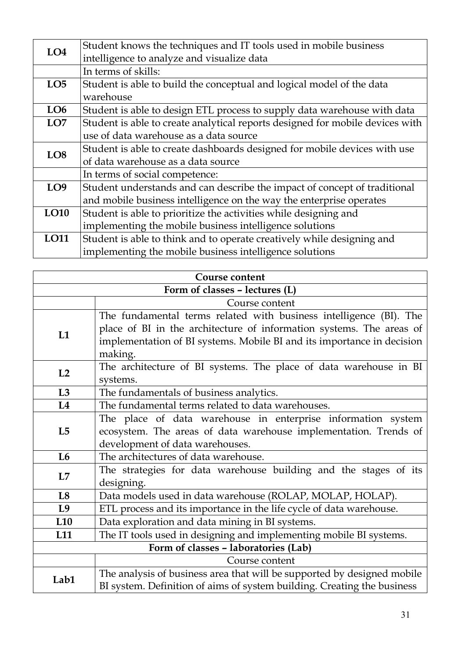| LO <sub>4</sub> | Student knows the techniques and IT tools used in mobile business             |
|-----------------|-------------------------------------------------------------------------------|
|                 | intelligence to analyze and visualize data                                    |
|                 | In terms of skills:                                                           |
| LO <sub>5</sub> | Student is able to build the conceptual and logical model of the data         |
|                 | warehouse                                                                     |
| LO <sub>6</sub> | Student is able to design ETL process to supply data warehouse with data      |
| LO <sub>7</sub> | Student is able to create analytical reports designed for mobile devices with |
|                 | use of data warehouse as a data source                                        |
| LO <sub>8</sub> | Student is able to create dashboards designed for mobile devices with use     |
|                 | of data warehouse as a data source                                            |
|                 | In terms of social competence:                                                |
| LO <sub>9</sub> | Student understands and can describe the impact of concept of traditional     |
|                 | and mobile business intelligence on the way the enterprise operates           |
| LO10            | Student is able to prioritize the activities while designing and              |
|                 | implementing the mobile business intelligence solutions                       |
| LO11            | Student is able to think and to operate creatively while designing and        |
|                 | implementing the mobile business intelligence solutions                       |

| <b>Course content</b>                |                                                                         |
|--------------------------------------|-------------------------------------------------------------------------|
| Form of classes - lectures (L)       |                                                                         |
|                                      | Course content                                                          |
|                                      | The fundamental terms related with business intelligence (BI). The      |
| L1                                   | place of BI in the architecture of information systems. The areas of    |
|                                      | implementation of BI systems. Mobile BI and its importance in decision  |
|                                      | making.                                                                 |
| L2                                   | The architecture of BI systems. The place of data warehouse in BI       |
|                                      | systems.                                                                |
| L3                                   | The fundamentals of business analytics.                                 |
| L4                                   | The fundamental terms related to data warehouses.                       |
|                                      | The place of data warehouse in enterprise information system            |
| L <sub>5</sub>                       | ecosystem. The areas of data warehouse implementation. Trends of        |
|                                      | development of data warehouses.                                         |
| L6                                   | The architectures of data warehouse.                                    |
| L7                                   | The strategies for data warehouse building and the stages of its        |
|                                      | designing.                                                              |
| L8                                   | Data models used in data warehouse (ROLAP, MOLAP, HOLAP).               |
| L <sub>9</sub>                       | ETL process and its importance in the life cycle of data warehouse.     |
| L10                                  | Data exploration and data mining in BI systems.                         |
| L <sub>11</sub>                      | The IT tools used in designing and implementing mobile BI systems.      |
| Form of classes - laboratories (Lab) |                                                                         |
|                                      | Course content                                                          |
| Lab1                                 | The analysis of business area that will be supported by designed mobile |
|                                      | BI system. Definition of aims of system building. Creating the business |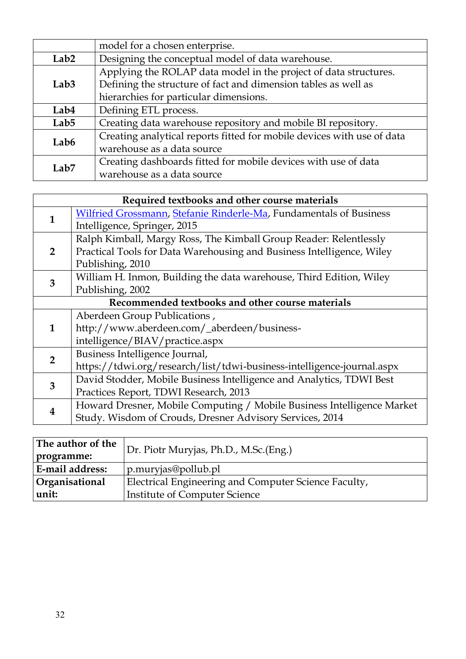|                  | model for a chosen enterprise.                                         |
|------------------|------------------------------------------------------------------------|
| Lab <sub>2</sub> | Designing the conceptual model of data warehouse.                      |
|                  | Applying the ROLAP data model in the project of data structures.       |
| Lab <sub>3</sub> | Defining the structure of fact and dimension tables as well as         |
|                  | hierarchies for particular dimensions.                                 |
| Lab4             | Defining ETL process.                                                  |
| Lab <sub>5</sub> | Creating data warehouse repository and mobile BI repository.           |
| Lab <sub>6</sub> | Creating analytical reports fitted for mobile devices with use of data |
|                  | warehouse as a data source                                             |
| Lab <sub>7</sub> | Creating dashboards fitted for mobile devices with use of data         |
|                  | warehouse as a data source                                             |

|                                                  | Required textbooks and other course materials                          |  |
|--------------------------------------------------|------------------------------------------------------------------------|--|
| 1                                                | Wilfried Grossmann, Stefanie Rinderle-Ma, Fundamentals of Business     |  |
|                                                  | Intelligence, Springer, 2015                                           |  |
|                                                  | Ralph Kimball, Margy Ross, The Kimball Group Reader: Relentlessly      |  |
| $2^{\circ}$                                      | Practical Tools for Data Warehousing and Business Intelligence, Wiley  |  |
|                                                  | Publishing, 2010                                                       |  |
| 3                                                | William H. Inmon, Building the data warehouse, Third Edition, Wiley    |  |
|                                                  | Publishing, 2002                                                       |  |
| Recommended textbooks and other course materials |                                                                        |  |
|                                                  | Aberdeen Group Publications,                                           |  |
| $\mathbf{1}$                                     | http://www.aberdeen.com/_aberdeen/business-                            |  |
|                                                  | intelligence/BIAV/practice.aspx                                        |  |
| $\overline{2}$                                   | Business Intelligence Journal,                                         |  |
|                                                  | https://tdwi.org/research/list/tdwi-business-intelligence-journal.aspx |  |
| 3                                                | David Stodder, Mobile Business Intelligence and Analytics, TDWI Best   |  |
|                                                  | Practices Report, TDWI Research, 2013                                  |  |
| 4                                                | Howard Dresner, Mobile Computing / Mobile Business Intelligence Market |  |
|                                                  | Study. Wisdom of Crouds, Dresner Advisory Services, 2014               |  |

| The author of the      | Dr. Piotr Muryjas, Ph.D., M.Sc.(Eng.)                |  |
|------------------------|------------------------------------------------------|--|
| programme:             |                                                      |  |
| <b>E-mail address:</b> | $\vert$ p.muryjas@pollub.pl                          |  |
| <b>Organisational</b>  | Electrical Engineering and Computer Science Faculty, |  |
| unit:                  | Institute of Computer Science                        |  |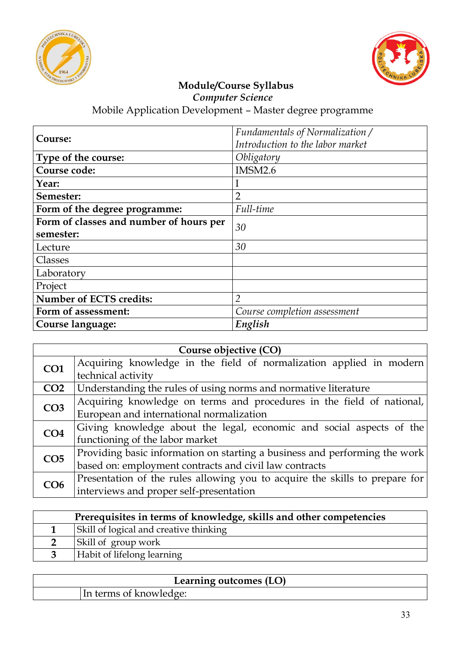



*Computer Science*

| Course:                                 | Fundamentals of Normalization /  |
|-----------------------------------------|----------------------------------|
|                                         | Introduction to the labor market |
| Type of the course:                     | Obligatory                       |
| Course code:                            | <b>IMSM2.6</b>                   |
| Year:                                   |                                  |
| Semester:                               | $\overline{2}$                   |
| Form of the degree programme:           | Full-time                        |
| Form of classes and number of hours per | 30                               |
| semester:                               |                                  |
| Lecture                                 | 30                               |
| Classes                                 |                                  |
| Laboratory                              |                                  |
| Project                                 |                                  |
| <b>Number of ECTS credits:</b>          | $\overline{2}$                   |
| Form of assessment:                     | Course completion assessment     |
| Course language:                        | English                          |

| Course objective (CO) |                                                                             |
|-----------------------|-----------------------------------------------------------------------------|
| CO <sub>1</sub>       | Acquiring knowledge in the field of normalization applied in modern         |
|                       | technical activity                                                          |
| CO <sub>2</sub>       | Understanding the rules of using norms and normative literature             |
| CO <sub>3</sub>       | Acquiring knowledge on terms and procedures in the field of national,       |
|                       | European and international normalization                                    |
| CO <sub>4</sub>       | Giving knowledge about the legal, economic and social aspects of the        |
|                       | functioning of the labor market                                             |
| CO <sub>5</sub>       | Providing basic information on starting a business and performing the work  |
|                       | based on: employment contracts and civil law contracts                      |
| CO6                   | Presentation of the rules allowing you to acquire the skills to prepare for |
|                       | interviews and proper self-presentation                                     |

| Prerequisites in terms of knowledge, skills and other competencies |                                        |
|--------------------------------------------------------------------|----------------------------------------|
|                                                                    | Skill of logical and creative thinking |
|                                                                    | Skill of group work                    |
|                                                                    | Habit of lifelong learning             |

| Learning outcomes (LO) |  |
|------------------------|--|
| terms of knowledge:    |  |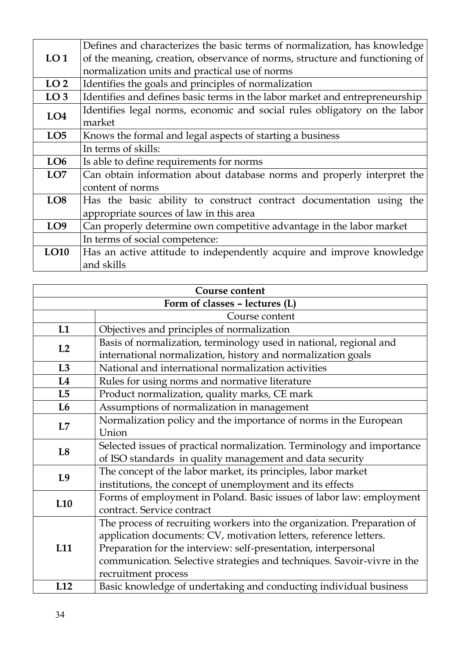|                 | Defines and characterizes the basic terms of normalization, has knowledge   |
|-----------------|-----------------------------------------------------------------------------|
| LO <sub>1</sub> | of the meaning, creation, observance of norms, structure and functioning of |
|                 |                                                                             |
|                 | normalization units and practical use of norms                              |
| LO <sub>2</sub> | Identifies the goals and principles of normalization                        |
| LO <sub>3</sub> | Identifies and defines basic terms in the labor market and entrepreneurship |
| LO <sub>4</sub> | Identifies legal norms, economic and social rules obligatory on the labor   |
|                 | market                                                                      |
| LO <sub>5</sub> | Knows the formal and legal aspects of starting a business                   |
|                 | In terms of skills:                                                         |
| LO6             | Is able to define requirements for norms                                    |
| LO7             | Can obtain information about database norms and properly interpret the      |
|                 | content of norms                                                            |
| LO <sub>8</sub> | Has the basic ability to construct contract documentation using the         |
|                 | appropriate sources of law in this area                                     |
| LO <sub>9</sub> | Can properly determine own competitive advantage in the labor market        |
|                 | In terms of social competence:                                              |
| LO10            | Has an active attitude to independently acquire and improve knowledge       |
|                 | and skills                                                                  |

|                 | Course content                                                          |
|-----------------|-------------------------------------------------------------------------|
|                 | Form of classes - lectures (L)                                          |
|                 | Course content                                                          |
| L1              | Objectives and principles of normalization                              |
| L2              | Basis of normalization, terminology used in national, regional and      |
|                 | international normalization, history and normalization goals            |
| L3              | National and international normalization activities                     |
| L4              | Rules for using norms and normative literature                          |
| L5              | Product normalization, quality marks, CE mark                           |
| L6              | Assumptions of normalization in management                              |
| L7              | Normalization policy and the importance of norms in the European        |
|                 | Union                                                                   |
| L8              | Selected issues of practical normalization. Terminology and importance  |
|                 | of ISO standards in quality management and data security                |
| L9              | The concept of the labor market, its principles, labor market           |
|                 | institutions, the concept of unemployment and its effects               |
| L <sub>10</sub> | Forms of employment in Poland. Basic issues of labor law: employment    |
|                 | contract. Service contract                                              |
| L <sub>11</sub> | The process of recruiting workers into the organization. Preparation of |
|                 | application documents: CV, motivation letters, reference letters.       |
|                 | Preparation for the interview: self-presentation, interpersonal         |
|                 | communication. Selective strategies and techniques. Savoir-vivre in the |
|                 | recruitment process                                                     |
| L12             | Basic knowledge of undertaking and conducting individual business       |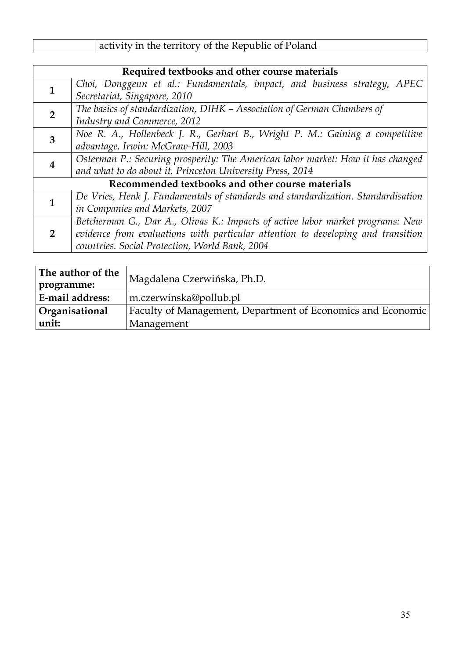| activity in the territory of the Republic of Poland |
|-----------------------------------------------------|
|-----------------------------------------------------|

|                                                  | Required textbooks and other course materials                                    |  |
|--------------------------------------------------|----------------------------------------------------------------------------------|--|
|                                                  | Choi, Donggeun et al.: Fundamentals, impact, and business strategy, APEC         |  |
|                                                  | Secretariat, Singapore, 2010                                                     |  |
| $\overline{2}$                                   | The basics of standardization, DIHK - Association of German Chambers of          |  |
|                                                  | Industry and Commerce, 2012                                                      |  |
| 3                                                | Noe R. A., Hollenbeck J. R., Gerhart B., Wright P. M.: Gaining a competitive     |  |
|                                                  | advantage. Irwin: McGraw-Hill, 2003                                              |  |
| 4                                                | Osterman P.: Securing prosperity: The American labor market: How it has changed  |  |
|                                                  | and what to do about it. Princeton University Press, 2014                        |  |
| Recommended textbooks and other course materials |                                                                                  |  |
|                                                  | De Vries, Henk J. Fundamentals of standards and standardization. Standardisation |  |
|                                                  | in Companies and Markets, 2007                                                   |  |
| $\overline{2}$                                   | Betcherman G., Dar A., Olivas K.: Impacts of active labor market programs: New   |  |
|                                                  | evidence from evaluations with particular attention to developing and transition |  |
|                                                  | countries. Social Protection, World Bank, 2004                                   |  |

| The author of the<br>programme: | Magdalena Czerwińska, Ph.D.                                 |  |
|---------------------------------|-------------------------------------------------------------|--|
| <b>E-mail address:</b>          | m.czerwinska@pollub.pl                                      |  |
| <b>Organisational</b>           | Faculty of Management, Department of Economics and Economic |  |
| unit:                           | Management                                                  |  |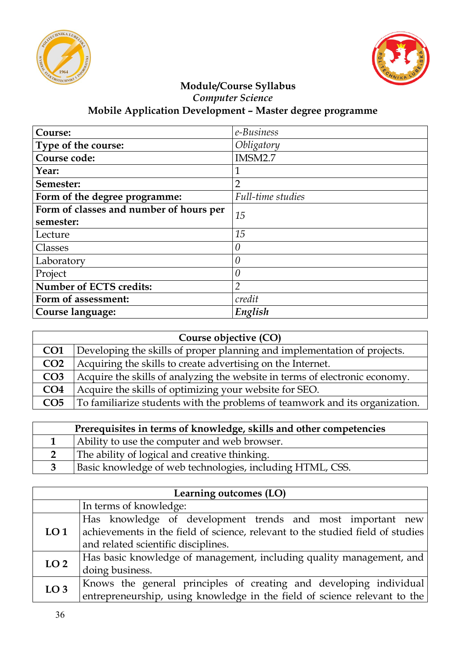



#### **Module/Course Syllabus** *Computer Science* **Mobile Application Development – Master degree programme**

| Course:                                 | e-Business        |
|-----------------------------------------|-------------------|
| Type of the course:                     | Obligatory        |
| Course code:                            | IMSM2.7           |
| Year:                                   | 1                 |
| Semester:                               | $\overline{2}$    |
| Form of the degree programme:           | Full-time studies |
| Form of classes and number of hours per | 15                |
| semester:                               |                   |
| Lecture                                 | 15                |
| Classes                                 | $\theta$          |
| Laboratory                              | 0                 |
| Project                                 |                   |
| <b>Number of ECTS credits:</b>          | $\overline{2}$    |
| Form of assessment:                     | credit            |
| Course language:                        | English           |

| Course objective (CO) |                                                                             |
|-----------------------|-----------------------------------------------------------------------------|
| CO <sub>1</sub>       | Developing the skills of proper planning and implementation of projects.    |
| CO <sub>2</sub>       | Acquiring the skills to create advertising on the Internet.                 |
| CO <sub>3</sub>       | Acquire the skills of analyzing the website in terms of electronic economy. |
| CO <sub>4</sub>       | Acquire the skills of optimizing your website for SEO.                      |
| CO <sub>5</sub>       | To familiarize students with the problems of teamwork and its organization. |

| Prerequisites in terms of knowledge, skills and other competencies |                                                           |
|--------------------------------------------------------------------|-----------------------------------------------------------|
|                                                                    | Ability to use the computer and web browser.              |
|                                                                    | The ability of logical and creative thinking.             |
|                                                                    | Basic knowledge of web technologies, including HTML, CSS. |

| Learning outcomes (LO) |                                                                                |
|------------------------|--------------------------------------------------------------------------------|
|                        | In terms of knowledge:                                                         |
|                        | Has knowledge of development trends and most important new                     |
| LO <sub>1</sub>        | achievements in the field of science, relevant to the studied field of studies |
|                        | and related scientific disciplines.                                            |
| LO <sub>2</sub>        | Has basic knowledge of management, including quality management, and           |
|                        | doing business.                                                                |
| LO <sub>3</sub>        | Knows the general principles of creating and developing individual             |
|                        | entrepreneurship, using knowledge in the field of science relevant to the      |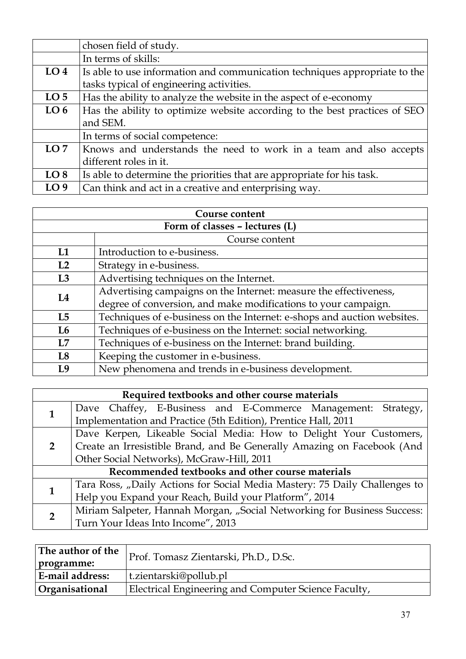|                 | chosen field of study.                                                     |
|-----------------|----------------------------------------------------------------------------|
|                 | In terms of skills:                                                        |
| LO <sub>4</sub> | Is able to use information and communication techniques appropriate to the |
|                 | tasks typical of engineering activities.                                   |
| LO <sub>5</sub> | Has the ability to analyze the website in the aspect of e-economy          |
| LO <sub>6</sub> | Has the ability to optimize website according to the best practices of SEO |
|                 | and SEM.                                                                   |
|                 | In terms of social competence:                                             |
| LO7             | Knows and understands the need to work in a team and also accepts          |
|                 | different roles in it.                                                     |
| LO <sub>8</sub> | Is able to determine the priorities that are appropriate for his task.     |
| LO <sub>9</sub> | Can think and act in a creative and enterprising way.                      |

| Course content                 |                                                                         |
|--------------------------------|-------------------------------------------------------------------------|
| Form of classes - lectures (L) |                                                                         |
|                                | Course content                                                          |
| L1                             | Introduction to e-business.                                             |
| L <sub>2</sub>                 | Strategy in e-business.                                                 |
| L3                             | Advertising techniques on the Internet.                                 |
| L4                             | Advertising campaigns on the Internet: measure the effectiveness,       |
|                                | degree of conversion, and make modifications to your campaign.          |
| L5                             | Techniques of e-business on the Internet: e-shops and auction websites. |
| L <sub>6</sub>                 | Techniques of e-business on the Internet: social networking.            |
| L7                             | Techniques of e-business on the Internet: brand building.               |
| L8                             | Keeping the customer in e-business.                                     |
| I.9                            | New phenomena and trends in e-business development.                     |

| Required textbooks and other course materials    |                                                                            |
|--------------------------------------------------|----------------------------------------------------------------------------|
|                                                  | Dave Chaffey, E-Business and E-Commerce Management: Strategy,              |
|                                                  | Implementation and Practice (5th Edition), Prentice Hall, 2011             |
| $\overline{2}$                                   | Dave Kerpen, Likeable Social Media: How to Delight Your Customers,         |
|                                                  | Create an Irresistible Brand, and Be Generally Amazing on Facebook (And    |
|                                                  | Other Social Networks), McGraw-Hill, 2011                                  |
| Recommended textbooks and other course materials |                                                                            |
|                                                  | Tara Ross, "Daily Actions for Social Media Mastery: 75 Daily Challenges to |
|                                                  | Help you Expand your Reach, Build your Platform", 2014                     |
| $\overline{2}$                                   | Miriam Salpeter, Hannah Morgan, "Social Networking for Business Success:   |
|                                                  | Turn Your Ideas Into Income", 2013                                         |

| The author of the      | Prof. Tomasz Zientarski, Ph.D., D.Sc.                |  |
|------------------------|------------------------------------------------------|--|
| programme:             |                                                      |  |
| <b>E-mail address:</b> | t.zientarski@pollub.pl                               |  |
| <b>Organisational</b>  | Electrical Engineering and Computer Science Faculty, |  |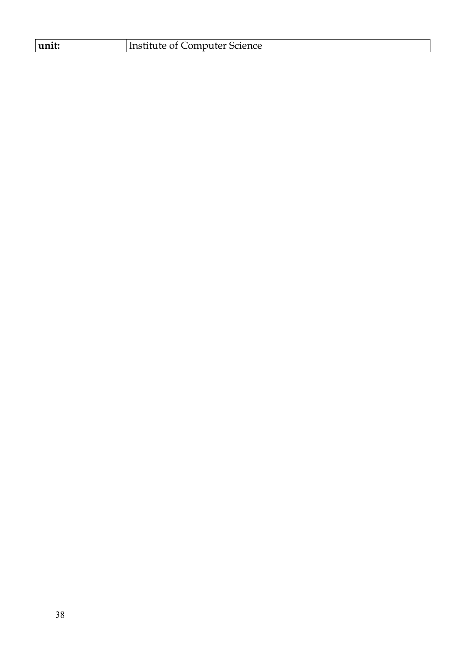| unit: | Institute of Computer Science |
|-------|-------------------------------|
|-------|-------------------------------|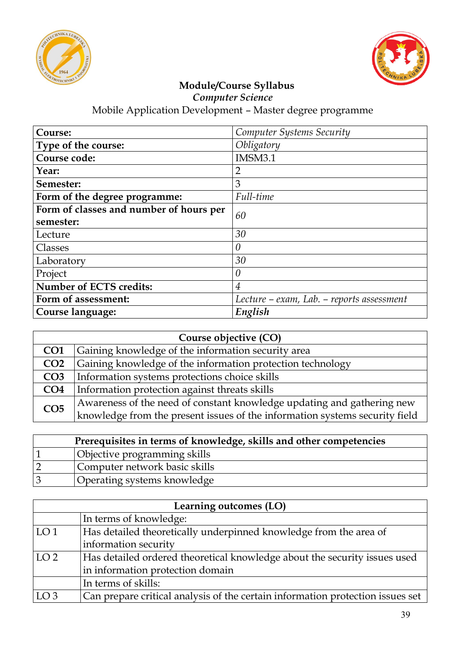



*Computer Science*

| Course:                                 | Computer Systems Security                 |
|-----------------------------------------|-------------------------------------------|
| Type of the course:                     | Obligatory                                |
| Course code:                            | IMSM3.1                                   |
| Year:                                   | $\overline{2}$                            |
| Semester:                               | 3                                         |
| Form of the degree programme:           | Full-time                                 |
| Form of classes and number of hours per | 60                                        |
| semester:                               |                                           |
| Lecture                                 | 30                                        |
| Classes                                 | $\theta$                                  |
| Laboratory                              | 30                                        |
| Project                                 | 0                                         |
| <b>Number of ECTS credits:</b>          | $\overline{4}$                            |
| Form of assessment:                     | Lecture – exam, Lab. – reports assessment |
| Course language:                        | English                                   |

| Course objective (CO) |                                                                             |
|-----------------------|-----------------------------------------------------------------------------|
| CO <sub>1</sub>       | Gaining knowledge of the information security area                          |
| CO <sub>2</sub>       | Gaining knowledge of the information protection technology                  |
| CO <sub>3</sub>       | Information systems protections choice skills                               |
| CO <sub>4</sub>       | Information protection against threats skills                               |
| CO <sub>5</sub>       | Awareness of the need of constant knowledge updating and gathering new      |
|                       | knowledge from the present issues of the information systems security field |

| Prerequisites in terms of knowledge, skills and other competencies |                               |
|--------------------------------------------------------------------|-------------------------------|
|                                                                    | Objective programming skills  |
|                                                                    | Computer network basic skills |
| $\beta$                                                            | Operating systems knowledge   |

| Learning outcomes (LO) |                                                                                |
|------------------------|--------------------------------------------------------------------------------|
|                        | In terms of knowledge:                                                         |
| LO <sub>1</sub>        | Has detailed theoretically underpinned knowledge from the area of              |
|                        | information security                                                           |
| LO <sub>2</sub>        | Has detailed ordered theoretical knowledge about the security issues used      |
|                        | in information protection domain                                               |
|                        | In terms of skills:                                                            |
| LO <sub>3</sub>        | Can prepare critical analysis of the certain information protection issues set |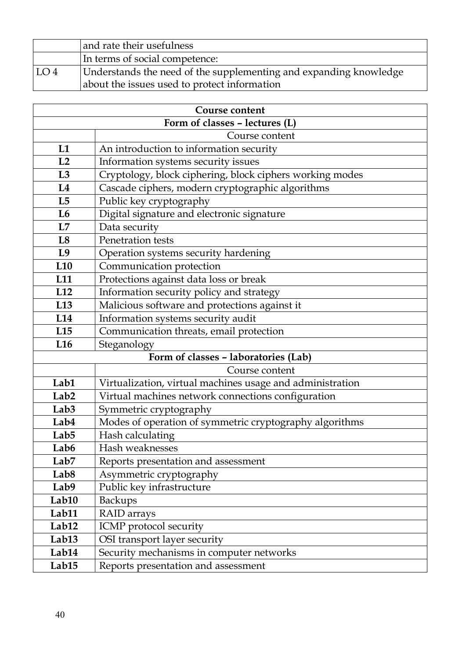|                 | and rate their usefulness                                         |
|-----------------|-------------------------------------------------------------------|
|                 | In terms of social competence:                                    |
| LO <sub>4</sub> | Understands the need of the supplementing and expanding knowledge |
|                 | about the issues used to protect information                      |

| <b>Course content</b>          |                                                           |  |
|--------------------------------|-----------------------------------------------------------|--|
| Form of classes - lectures (L) |                                                           |  |
|                                | Course content                                            |  |
| L1                             | An introduction to information security                   |  |
| L2                             | Information systems security issues                       |  |
| L3                             | Cryptology, block ciphering, block ciphers working modes  |  |
| L4                             | Cascade ciphers, modern cryptographic algorithms          |  |
| L5                             | Public key cryptography                                   |  |
| L6                             | Digital signature and electronic signature                |  |
| L7                             | Data security                                             |  |
| L8                             | Penetration tests                                         |  |
| L9                             | Operation systems security hardening                      |  |
| L10                            | Communication protection                                  |  |
| L11                            | Protections against data loss or break                    |  |
| L12                            | Information security policy and strategy                  |  |
| L <sub>13</sub>                | Malicious software and protections against it             |  |
| L14                            | Information systems security audit                        |  |
| L15                            | Communication threats, email protection                   |  |
| L <sub>16</sub>                | Steganology                                               |  |
|                                | Form of classes - laboratories (Lab)                      |  |
|                                | Course content                                            |  |
| Lab1                           | Virtualization, virtual machines usage and administration |  |
| Lab <sub>2</sub>               | Virtual machines network connections configuration        |  |
| Lab <sub>3</sub>               | Symmetric cryptography                                    |  |
| Lab4                           | Modes of operation of symmetric cryptography algorithms   |  |
| Lab <sub>5</sub>               | Hash calculating                                          |  |
| Lab6                           | Hash weaknesses                                           |  |
| Lab <sub>7</sub>               | Reports presentation and assessment                       |  |
| Lab <sub>8</sub>               | Asymmetric cryptography                                   |  |
| Lab9                           | Public key infrastructure                                 |  |
| Lab10                          | <b>Backups</b>                                            |  |
| Lab11                          | RAID arrays                                               |  |
| Lab12                          | ICMP protocol security                                    |  |
| Lab <sub>13</sub>              | OSI transport layer security                              |  |
| Lab14                          | Security mechanisms in computer networks                  |  |
| Lab <sub>15</sub>              | Reports presentation and assessment                       |  |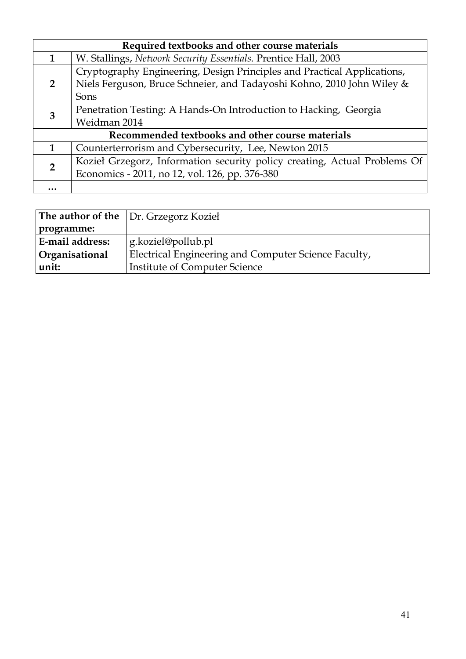| Required textbooks and other course materials |                                                                                                                                                   |  |
|-----------------------------------------------|---------------------------------------------------------------------------------------------------------------------------------------------------|--|
| 1                                             | W. Stallings, Network Security Essentials. Prentice Hall, 2003                                                                                    |  |
| $\overline{2}$                                | Cryptography Engineering, Design Principles and Practical Applications,<br>Niels Ferguson, Bruce Schneier, and Tadayoshi Kohno, 2010 John Wiley & |  |
|                                               | Sons                                                                                                                                              |  |
| 3                                             | Penetration Testing: A Hands-On Introduction to Hacking, Georgia                                                                                  |  |
|                                               | Weidman 2014                                                                                                                                      |  |
|                                               | Recommended textbooks and other course materials                                                                                                  |  |
| 1                                             | Counterterrorism and Cybersecurity, Lee, Newton 2015                                                                                              |  |
| $\overline{2}$                                | Kozieł Grzegorz, Information security policy creating, Actual Problems Of                                                                         |  |
|                                               | Economics - 2011, no 12, vol. 126, pp. 376-380                                                                                                    |  |
|                                               |                                                                                                                                                   |  |

|                 | <b>The author of the</b> $\vert$ Dr. Grzegorz Kozieł |
|-----------------|------------------------------------------------------|
| programme:      |                                                      |
| E-mail address: | g.koziel@pollub.pl                                   |
| Organisational  | Electrical Engineering and Computer Science Faculty, |
| unit:           | <b>Institute of Computer Science</b>                 |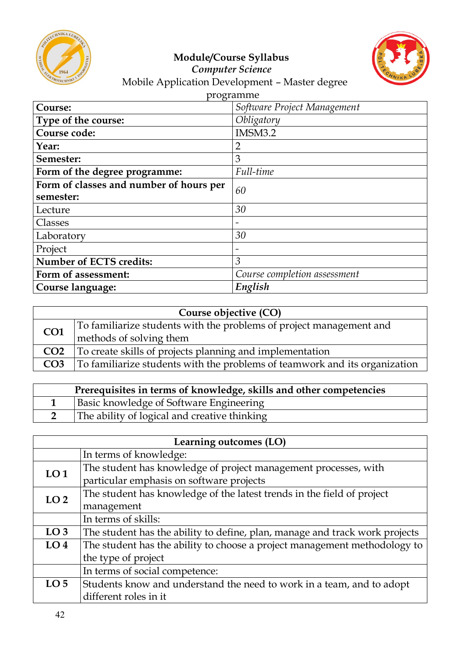



#### *Computer Science* Mobile Application Development – Master degree

| programme                               |                              |  |
|-----------------------------------------|------------------------------|--|
| Course:                                 | Software Project Management  |  |
| Type of the course:                     | Obligatory                   |  |
| Course code:                            | IMSM3.2                      |  |
| Year:                                   | $\overline{2}$               |  |
| Semester:                               | 3                            |  |
| Form of the degree programme:           | Full-time                    |  |
| Form of classes and number of hours per | 60                           |  |
| semester:                               |                              |  |
| Lecture                                 | 30                           |  |
| Classes                                 | $\overline{\phantom{0}}$     |  |
| Laboratory                              | 30                           |  |
| Project                                 | $\overline{\phantom{m}}$     |  |
| <b>Number of ECTS credits:</b>          | $\mathfrak{Z}$               |  |
| Form of assessment:                     | Course completion assessment |  |
| Course language:                        | English                      |  |

| Course objective (CO) |                                                                            |  |
|-----------------------|----------------------------------------------------------------------------|--|
| CO <sub>1</sub>       | To familiarize students with the problems of project management and        |  |
|                       | methods of solving them                                                    |  |
| CO <sub>2</sub>       | To create skills of projects planning and implementation                   |  |
| CO <sub>3</sub>       | To familiarize students with the problems of teamwork and its organization |  |

| Prerequisites in terms of knowledge, skills and other competencies |                                              |  |
|--------------------------------------------------------------------|----------------------------------------------|--|
|                                                                    | Basic knowledge of Software Engineering      |  |
|                                                                    | The ability of logical and creative thinking |  |

| Learning outcomes (LO) |                                                                             |  |
|------------------------|-----------------------------------------------------------------------------|--|
|                        | In terms of knowledge:                                                      |  |
| LO <sub>1</sub>        | The student has knowledge of project management processes, with             |  |
|                        | particular emphasis on software projects                                    |  |
| LO <sub>2</sub>        | The student has knowledge of the latest trends in the field of project      |  |
|                        | management                                                                  |  |
|                        | In terms of skills:                                                         |  |
| LO <sub>3</sub>        | The student has the ability to define, plan, manage and track work projects |  |
| LO <sub>4</sub>        | The student has the ability to choose a project management methodology to   |  |
|                        | the type of project                                                         |  |
|                        | In terms of social competence:                                              |  |
| LO <sub>5</sub>        | Students know and understand the need to work in a team, and to adopt       |  |
|                        | different roles in it                                                       |  |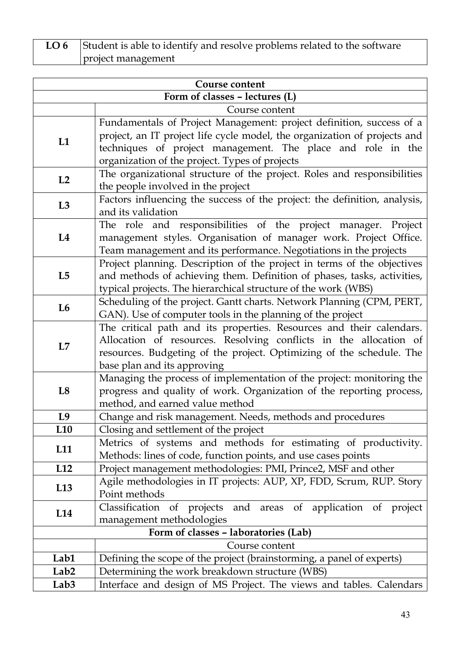**LO 6** Student is able to identify and resolve problems related to the software project management

| <b>Course content</b>          |                                                                                                                                                                                                                                                                    |  |  |
|--------------------------------|--------------------------------------------------------------------------------------------------------------------------------------------------------------------------------------------------------------------------------------------------------------------|--|--|
| Form of classes - lectures (L) |                                                                                                                                                                                                                                                                    |  |  |
|                                | Course content                                                                                                                                                                                                                                                     |  |  |
| L1                             | Fundamentals of Project Management: project definition, success of a<br>project, an IT project life cycle model, the organization of projects and<br>techniques of project management. The place and role in the<br>organization of the project. Types of projects |  |  |
| L2                             | The organizational structure of the project. Roles and responsibilities<br>the people involved in the project                                                                                                                                                      |  |  |
| L3                             | Factors influencing the success of the project: the definition, analysis,<br>and its validation                                                                                                                                                                    |  |  |
| L4                             | The role and responsibilities of the project manager. Project<br>management styles. Organisation of manager work. Project Office.<br>Team management and its performance. Negotiations in the projects                                                             |  |  |
| L <sub>5</sub>                 | Project planning. Description of the project in terms of the objectives<br>and methods of achieving them. Definition of phases, tasks, activities,<br>typical projects. The hierarchical structure of the work (WBS)                                               |  |  |
| L <sub>6</sub>                 | Scheduling of the project. Gantt charts. Network Planning (CPM, PERT,<br>GAN). Use of computer tools in the planning of the project                                                                                                                                |  |  |
| L7                             | The critical path and its properties. Resources and their calendars.<br>Allocation of resources. Resolving conflicts in the allocation of<br>resources. Budgeting of the project. Optimizing of the schedule. The<br>base plan and its approving                   |  |  |
| L <sub>8</sub>                 | Managing the process of implementation of the project: monitoring the<br>progress and quality of work. Organization of the reporting process,<br>method, and earned value method                                                                                   |  |  |
| L9                             | Change and risk management. Needs, methods and procedures                                                                                                                                                                                                          |  |  |
| L <sub>10</sub>                | Closing and settlement of the project                                                                                                                                                                                                                              |  |  |
| L <sub>11</sub>                | Metrics of systems and methods for estimating of productivity.<br>Methods: lines of code, function points, and use cases points                                                                                                                                    |  |  |
| L12                            | Project management methodologies: PMI, Prince2, MSF and other                                                                                                                                                                                                      |  |  |
| L <sub>13</sub>                | Agile methodologies in IT projects: AUP, XP, FDD, Scrum, RUP. Story<br>Point methods                                                                                                                                                                               |  |  |
| L14                            | Classification of projects<br>and areas of application of project<br>management methodologies                                                                                                                                                                      |  |  |
|                                | Form of classes - laboratories (Lab)                                                                                                                                                                                                                               |  |  |
|                                | Course content                                                                                                                                                                                                                                                     |  |  |
| Lab1                           | Defining the scope of the project (brainstorming, a panel of experts)                                                                                                                                                                                              |  |  |
| Lab <sub>2</sub>               | Determining the work breakdown structure (WBS)                                                                                                                                                                                                                     |  |  |
| Lab <sub>3</sub>               | Interface and design of MS Project. The views and tables. Calendars                                                                                                                                                                                                |  |  |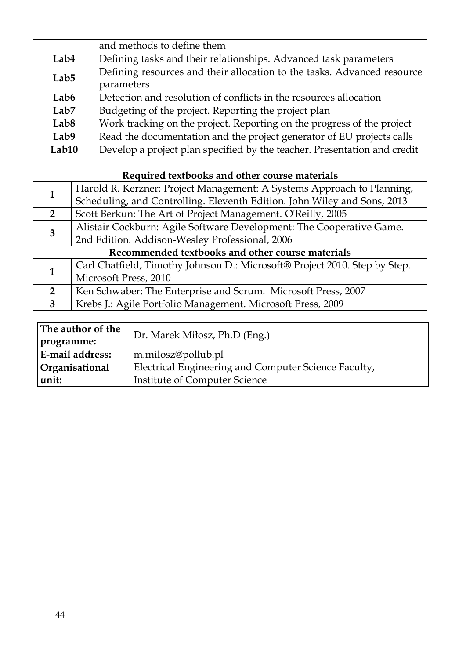|                  | and methods to define them                                               |  |
|------------------|--------------------------------------------------------------------------|--|
| Lab4             | Defining tasks and their relationships. Advanced task parameters         |  |
| Lab <sub>5</sub> | Defining resources and their allocation to the tasks. Advanced resource  |  |
|                  | parameters                                                               |  |
| Lab <sub>6</sub> | Detection and resolution of conflicts in the resources allocation        |  |
| Lab7             | Budgeting of the project. Reporting the project plan                     |  |
| Lab <sub>8</sub> | Work tracking on the project. Reporting on the progress of the project   |  |
| Lab9             | Read the documentation and the project generator of EU projects calls    |  |
| Lab10            | Develop a project plan specified by the teacher. Presentation and credit |  |

| Required textbooks and other course materials    |                                                                            |  |
|--------------------------------------------------|----------------------------------------------------------------------------|--|
| 1                                                | Harold R. Kerzner: Project Management: A Systems Approach to Planning,     |  |
|                                                  | Scheduling, and Controlling. Eleventh Edition. John Wiley and Sons, 2013   |  |
| $\overline{2}$                                   | Scott Berkun: The Art of Project Management. O'Reilly, 2005                |  |
| 3                                                | Alistair Cockburn: Agile Software Development: The Cooperative Game.       |  |
|                                                  | 2nd Edition. Addison-Wesley Professional, 2006                             |  |
| Recommended textbooks and other course materials |                                                                            |  |
| 1                                                | Carl Chatfield, Timothy Johnson D.: Microsoft® Project 2010. Step by Step. |  |
|                                                  | Microsoft Press, 2010                                                      |  |
| $\overline{2}$                                   | Ken Schwaber: The Enterprise and Scrum. Microsoft Press, 2007              |  |
| $3^{\circ}$                                      | Krebs J.: Agile Portfolio Management. Microsoft Press, 2009                |  |

| The author of the     | Dr. Marek Miłosz, Ph.D (Eng.)                        |
|-----------------------|------------------------------------------------------|
| programme:            |                                                      |
| E-mail address:       | m.milosz@pollub.pl                                   |
| <b>Organisational</b> | Electrical Engineering and Computer Science Faculty, |
| unit:                 | <b>Institute of Computer Science</b>                 |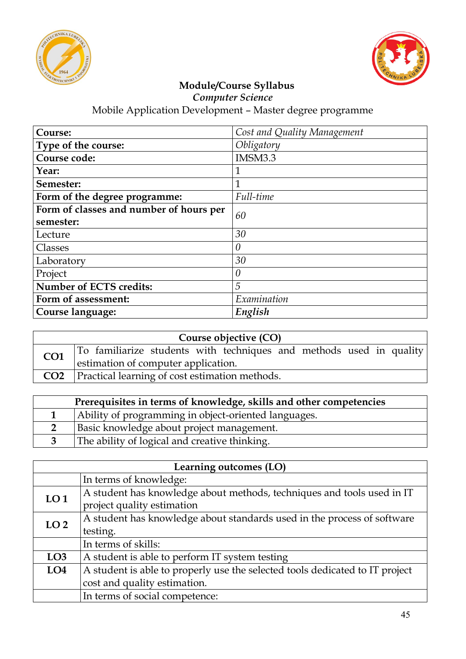



*Computer Science*

| Course:                                 | Cost and Quality Management |  |
|-----------------------------------------|-----------------------------|--|
| Type of the course:                     | Obligatory                  |  |
| Course code:                            | IMSM3.3                     |  |
| Year:                                   | $\mathbf{1}$                |  |
| Semester:                               | $\mathbf 1$                 |  |
| Form of the degree programme:           | Full-time                   |  |
| Form of classes and number of hours per | 60                          |  |
| semester:                               |                             |  |
| Lecture                                 | 30                          |  |
| Classes                                 | $\theta$                    |  |
| Laboratory                              | 30                          |  |
| Project                                 | $\theta$                    |  |
| Number of ECTS credits:                 | 5                           |  |
| Form of assessment:                     | Examination                 |  |
| Course language:                        | English                     |  |

| Course objective (CO) |                                                                     |  |  |
|-----------------------|---------------------------------------------------------------------|--|--|
| CO1                   | To familiarize students with techniques and methods used in quality |  |  |
|                       | estimation of computer application.                                 |  |  |
|                       | CO2   Practical learning of cost estimation methods.                |  |  |

| Prerequisites in terms of knowledge, skills and other competencies |                                                      |  |
|--------------------------------------------------------------------|------------------------------------------------------|--|
|                                                                    | Ability of programming in object-oriented languages. |  |
|                                                                    | Basic knowledge about project management.            |  |
|                                                                    | The ability of logical and creative thinking.        |  |

| Learning outcomes (LO) |                                                                              |
|------------------------|------------------------------------------------------------------------------|
|                        | In terms of knowledge:                                                       |
| LO <sub>1</sub>        | A student has knowledge about methods, techniques and tools used in IT       |
|                        | project quality estimation                                                   |
| LO <sub>2</sub>        | A student has knowledge about standards used in the process of software      |
|                        | testing.                                                                     |
|                        | In terms of skills:                                                          |
| LO <sub>3</sub>        | A student is able to perform IT system testing                               |
| LO <sub>4</sub>        | A student is able to properly use the selected tools dedicated to IT project |
|                        | cost and quality estimation.                                                 |
|                        | In terms of social competence:                                               |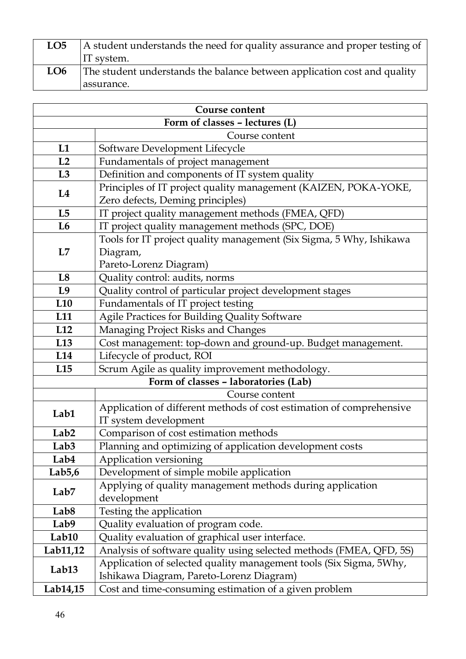| LO <sub>5</sub> | A student understands the need for quality assurance and proper testing of |  |
|-----------------|----------------------------------------------------------------------------|--|
|                 | IT system.                                                                 |  |
| LO6             | The student understands the balance between application cost and quality   |  |
|                 | assurance.                                                                 |  |

| <b>Course content</b>          |                                                                                                                |  |  |
|--------------------------------|----------------------------------------------------------------------------------------------------------------|--|--|
| Form of classes - lectures (L) |                                                                                                                |  |  |
| Course content                 |                                                                                                                |  |  |
| L1                             | Software Development Lifecycle                                                                                 |  |  |
| L2                             | Fundamentals of project management                                                                             |  |  |
| L3                             | Definition and components of IT system quality                                                                 |  |  |
| L4                             | Principles of IT project quality management (KAIZEN, POKA-YOKE,<br>Zero defects, Deming principles)            |  |  |
| L5                             | IT project quality management methods (FMEA, QFD)                                                              |  |  |
| L <sub>6</sub>                 | IT project quality management methods (SPC, DOE)                                                               |  |  |
| L7                             | Tools for IT project quality management (Six Sigma, 5 Why, Ishikawa<br>Diagram,<br>Pareto-Lorenz Diagram)      |  |  |
| L8                             | Quality control: audits, norms                                                                                 |  |  |
| L <sub>9</sub>                 | Quality control of particular project development stages                                                       |  |  |
| L10                            | Fundamentals of IT project testing                                                                             |  |  |
| L <sub>11</sub>                | Agile Practices for Building Quality Software                                                                  |  |  |
| L12                            | Managing Project Risks and Changes                                                                             |  |  |
| L13                            | Cost management: top-down and ground-up. Budget management.                                                    |  |  |
| L14                            | Lifecycle of product, ROI                                                                                      |  |  |
| L15                            | Scrum Agile as quality improvement methodology.                                                                |  |  |
|                                | Form of classes - laboratories (Lab)                                                                           |  |  |
|                                | Course content                                                                                                 |  |  |
| Lab1                           | Application of different methods of cost estimation of comprehensive<br>IT system development                  |  |  |
| Lab <sub>2</sub>               | Comparison of cost estimation methods                                                                          |  |  |
| Lab <sub>3</sub>               | Planning and optimizing of application development costs                                                       |  |  |
| Lab4                           | Application versioning                                                                                         |  |  |
| Lab5,6                         | Development of simple mobile application                                                                       |  |  |
| Lab <sub>7</sub>               | Applying of quality management methods during application<br>development                                       |  |  |
| Lab <sub>8</sub>               | Testing the application                                                                                        |  |  |
| Lab9                           | Quality evaluation of program code.                                                                            |  |  |
| Lab10                          | Quality evaluation of graphical user interface.                                                                |  |  |
| Lab11,12                       | Analysis of software quality using selected methods (FMEA, QFD, 5S)                                            |  |  |
| Lab <sub>13</sub>              | Application of selected quality management tools (Six Sigma, 5Why,<br>Ishikawa Diagram, Pareto-Lorenz Diagram) |  |  |
| Lab14,15                       | Cost and time-consuming estimation of a given problem                                                          |  |  |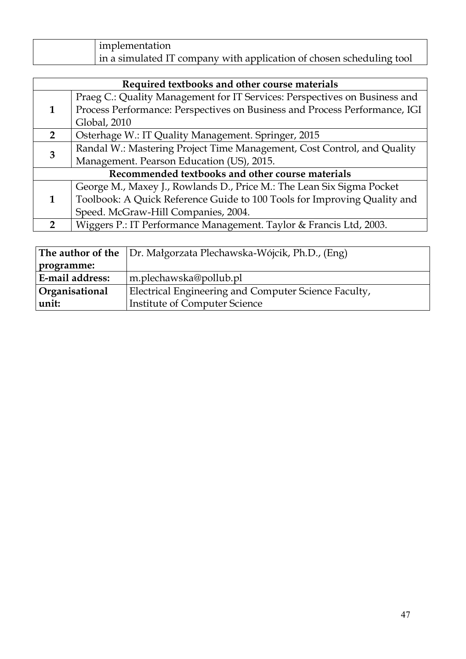| implementation                                                       |
|----------------------------------------------------------------------|
| in a simulated IT company with application of chosen scheduling tool |

| Required textbooks and other course materials |                                                                            |
|-----------------------------------------------|----------------------------------------------------------------------------|
|                                               | Praeg C.: Quality Management for IT Services: Perspectives on Business and |
|                                               | Process Performance: Perspectives on Business and Process Performance, IGI |
|                                               | Global, 2010                                                               |
| $\overline{2}$                                | Osterhage W.: IT Quality Management. Springer, 2015                        |
| 3                                             | Randal W.: Mastering Project Time Management, Cost Control, and Quality    |
|                                               | Management. Pearson Education (US), 2015.                                  |
|                                               | Recommended textbooks and other course materials                           |
|                                               | George M., Maxey J., Rowlands D., Price M.: The Lean Six Sigma Pocket      |
|                                               | Toolbook: A Quick Reference Guide to 100 Tools for Improving Quality and   |
|                                               | Speed. McGraw-Hill Companies, 2004.                                        |
| $\mathcal{P}$                                 | Wiggers P.: IT Performance Management. Taylor & Francis Ltd, 2003.         |

|                        | <b>The author of the</b> Dr. Małgorzata Plechawska-Wójcik, Ph.D., (Eng) |
|------------------------|-------------------------------------------------------------------------|
| programme:             |                                                                         |
| <b>E-mail address:</b> | m.plechawska@pollub.pl                                                  |
| Organisational         | Electrical Engineering and Computer Science Faculty,                    |
| unit:                  | <b>Institute of Computer Science</b>                                    |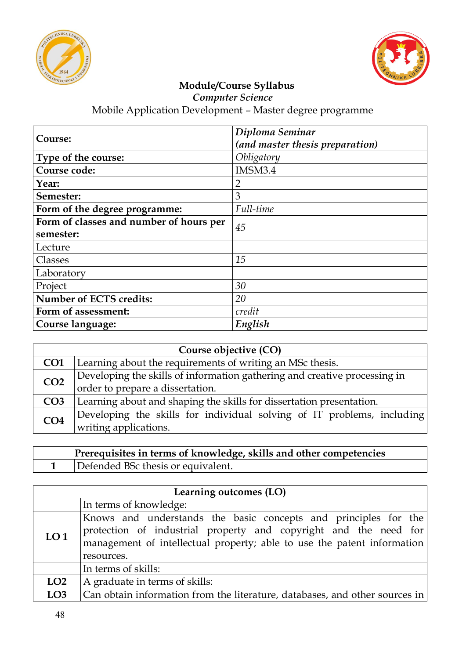



*Computer Science*

| Course:                                 | Diploma Seminar<br>(and master thesis preparation) |  |
|-----------------------------------------|----------------------------------------------------|--|
| Type of the course:                     | Obligatory                                         |  |
| Course code:                            | IMSM3.4                                            |  |
| Year:                                   | $\overline{2}$                                     |  |
| Semester:                               | 3                                                  |  |
| Form of the degree programme:           | Full-time                                          |  |
| Form of classes and number of hours per | 45                                                 |  |
| semester:                               |                                                    |  |
| Lecture                                 |                                                    |  |
| Classes                                 | 15                                                 |  |
| Laboratory                              |                                                    |  |
| Project                                 | 30                                                 |  |
| Number of ECTS credits:                 | 20                                                 |  |
| Form of assessment:                     | credit                                             |  |
| Course language:                        | English                                            |  |

| Course objective (CO) |                                                                           |  |
|-----------------------|---------------------------------------------------------------------------|--|
| CO <sub>1</sub>       | Learning about the requirements of writing an MSc thesis.                 |  |
| CO <sub>2</sub>       | Developing the skills of information gathering and creative processing in |  |
|                       | order to prepare a dissertation.                                          |  |
| CO <sub>3</sub>       | Learning about and shaping the skills for dissertation presentation.      |  |
| CO <sub>4</sub>       | Developing the skills for individual solving of IT problems, including    |  |
|                       | writing applications.                                                     |  |

| Prerequisites in terms of knowledge, skills and other competencies |
|--------------------------------------------------------------------|
| Defended BSc thesis or equivalent.                                 |

| Learning outcomes (LO) |                                                                                                                                                                                                                              |
|------------------------|------------------------------------------------------------------------------------------------------------------------------------------------------------------------------------------------------------------------------|
|                        | In terms of knowledge:                                                                                                                                                                                                       |
| LO <sub>1</sub>        | Knows and understands the basic concepts and principles for the<br>protection of industrial property and copyright and the need for<br>management of intellectual property; able to use the patent information<br>resources. |
|                        | In terms of skills:                                                                                                                                                                                                          |
| LO2                    | A graduate in terms of skills:                                                                                                                                                                                               |
| LO <sub>3</sub>        | Can obtain information from the literature, databases, and other sources in                                                                                                                                                  |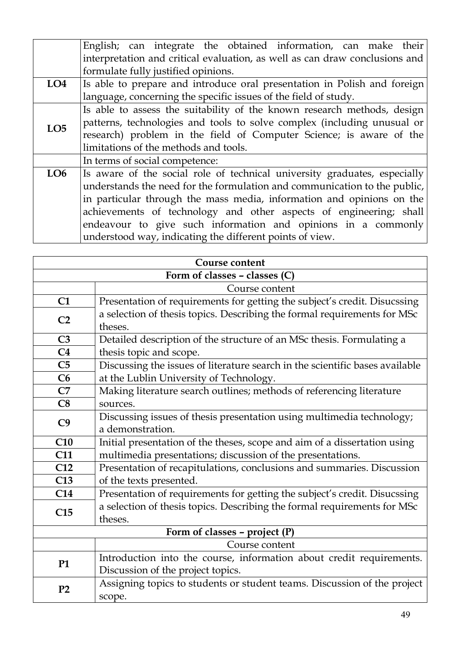|                 | English; can integrate the obtained information, can make their             |  |  |
|-----------------|-----------------------------------------------------------------------------|--|--|
|                 | interpretation and critical evaluation, as well as can draw conclusions and |  |  |
|                 | formulate fully justified opinions.                                         |  |  |
| LO <sub>4</sub> | Is able to prepare and introduce oral presentation in Polish and foreign    |  |  |
|                 | language, concerning the specific issues of the field of study.             |  |  |
| LO <sub>5</sub> | Is able to assess the suitability of the known research methods, design     |  |  |
|                 | patterns, technologies and tools to solve complex (including unusual or     |  |  |
|                 | research) problem in the field of Computer Science; is aware of the         |  |  |
|                 | limitations of the methods and tools.                                       |  |  |
|                 | In terms of social competence:                                              |  |  |
| LO6             | Is aware of the social role of technical university graduates, especially   |  |  |
|                 | understands the need for the formulation and communication to the public,   |  |  |
|                 | in particular through the mass media, information and opinions on the       |  |  |
|                 | achievements of technology and other aspects of engineering; shall          |  |  |
|                 | endeavour to give such information and opinions in a commonly               |  |  |
|                 | understood way, indicating the different points of view.                    |  |  |

| Course content                    |                                                                                     |  |
|-----------------------------------|-------------------------------------------------------------------------------------|--|
| Form of classes $-$ classes $(C)$ |                                                                                     |  |
|                                   | Course content                                                                      |  |
| C1                                | Presentation of requirements for getting the subject's credit. Disucssing           |  |
| C <sub>2</sub>                    | a selection of thesis topics. Describing the formal requirements for MSc<br>theses. |  |
| C <sub>3</sub>                    | Detailed description of the structure of an MSc thesis. Formulating a               |  |
| C <sub>4</sub>                    | thesis topic and scope.                                                             |  |
| C <sub>5</sub>                    | Discussing the issues of literature search in the scientific bases available        |  |
| C6                                | at the Lublin University of Technology.                                             |  |
| C7                                | Making literature search outlines; methods of referencing literature                |  |
| C8                                | sources.                                                                            |  |
| C <sub>9</sub>                    | Discussing issues of thesis presentation using multimedia technology;               |  |
|                                   | a demonstration.                                                                    |  |
| C10                               | Initial presentation of the theses, scope and aim of a dissertation using           |  |
| <b>C11</b>                        | multimedia presentations; discussion of the presentations.                          |  |
| C12                               | Presentation of recapitulations, conclusions and summaries. Discussion              |  |
| C13                               | of the texts presented.                                                             |  |
| C14                               | Presentation of requirements for getting the subject's credit. Disucssing           |  |
| C15                               | a selection of thesis topics. Describing the formal requirements for MSc            |  |
|                                   | theses.                                                                             |  |
|                                   | Form of classes - project $(P)$                                                     |  |
|                                   | Course content                                                                      |  |
| <b>P1</b>                         | Introduction into the course, information about credit requirements.                |  |
|                                   | Discussion of the project topics.                                                   |  |
| P <sub>2</sub>                    | Assigning topics to students or student teams. Discussion of the project            |  |
|                                   | scope.                                                                              |  |